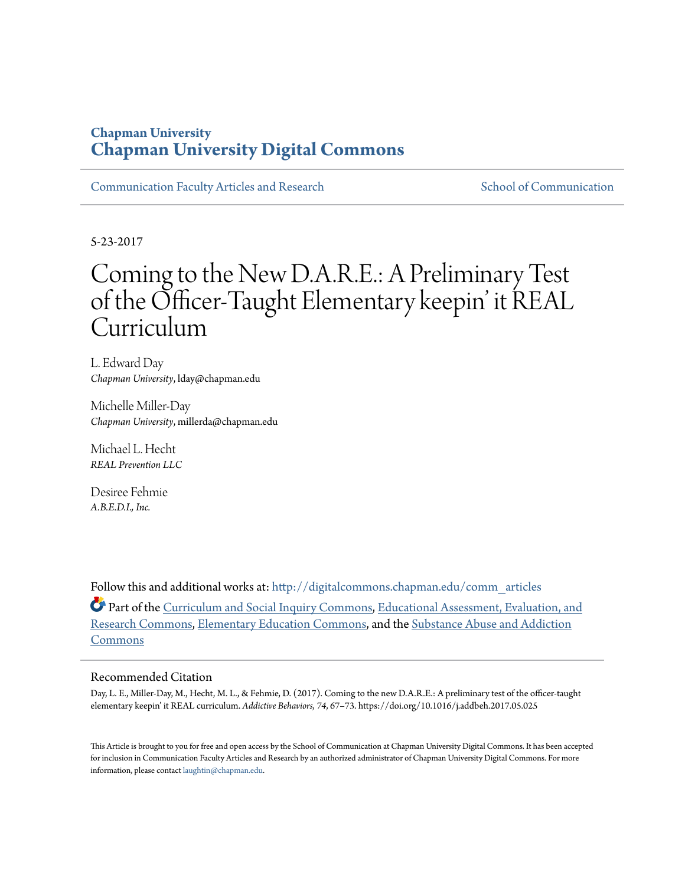### **Chapman University [Chapman University Digital Commons](http://digitalcommons.chapman.edu?utm_source=digitalcommons.chapman.edu%2Fcomm_articles%2F34&utm_medium=PDF&utm_campaign=PDFCoverPages)**

[Communication Faculty Articles and Research](http://digitalcommons.chapman.edu/comm_articles?utm_source=digitalcommons.chapman.edu%2Fcomm_articles%2F34&utm_medium=PDF&utm_campaign=PDFCoverPages) [School of Communication](http://digitalcommons.chapman.edu/communication?utm_source=digitalcommons.chapman.edu%2Fcomm_articles%2F34&utm_medium=PDF&utm_campaign=PDFCoverPages)

5-23-2017

## Coming to the New D.A.R.E.: A Preliminary Test of the Officer-Taught Elementary keepin' it REAL Curriculum

L. Edward Day *Chapman University*, lday@chapman.edu

Michelle Miller-Day *Chapman University*, millerda@chapman.edu

Michael L. Hecht *REAL Prevention LLC*

Desiree Fehmie *A.B.E.D.I., Inc.*

Follow this and additional works at: [http://digitalcommons.chapman.edu/comm\\_articles](http://digitalcommons.chapman.edu/comm_articles?utm_source=digitalcommons.chapman.edu%2Fcomm_articles%2F34&utm_medium=PDF&utm_campaign=PDFCoverPages) Part of the [Curriculum and Social Inquiry Commons](http://network.bepress.com/hgg/discipline/1038?utm_source=digitalcommons.chapman.edu%2Fcomm_articles%2F34&utm_medium=PDF&utm_campaign=PDFCoverPages), [Educational Assessment, Evaluation, and](http://network.bepress.com/hgg/discipline/796?utm_source=digitalcommons.chapman.edu%2Fcomm_articles%2F34&utm_medium=PDF&utm_campaign=PDFCoverPages)

[Research Commons,](http://network.bepress.com/hgg/discipline/796?utm_source=digitalcommons.chapman.edu%2Fcomm_articles%2F34&utm_medium=PDF&utm_campaign=PDFCoverPages) [Elementary Education Commons,](http://network.bepress.com/hgg/discipline/1378?utm_source=digitalcommons.chapman.edu%2Fcomm_articles%2F34&utm_medium=PDF&utm_campaign=PDFCoverPages) and the [Substance Abuse and Addiction](http://network.bepress.com/hgg/discipline/710?utm_source=digitalcommons.chapman.edu%2Fcomm_articles%2F34&utm_medium=PDF&utm_campaign=PDFCoverPages) [Commons](http://network.bepress.com/hgg/discipline/710?utm_source=digitalcommons.chapman.edu%2Fcomm_articles%2F34&utm_medium=PDF&utm_campaign=PDFCoverPages)

#### Recommended Citation

Day, L. E., Miller-Day, M., Hecht, M. L., & Fehmie, D. (2017). Coming to the new D.A.R.E.: A preliminary test of the officer-taught elementary keepin' it REAL curriculum. *Addictive Behaviors, 74*, 67–73. https://doi.org/10.1016/j.addbeh.2017.05.025

This Article is brought to you for free and open access by the School of Communication at Chapman University Digital Commons. It has been accepted for inclusion in Communication Faculty Articles and Research by an authorized administrator of Chapman University Digital Commons. For more information, please contact [laughtin@chapman.edu](mailto:laughtin@chapman.edu).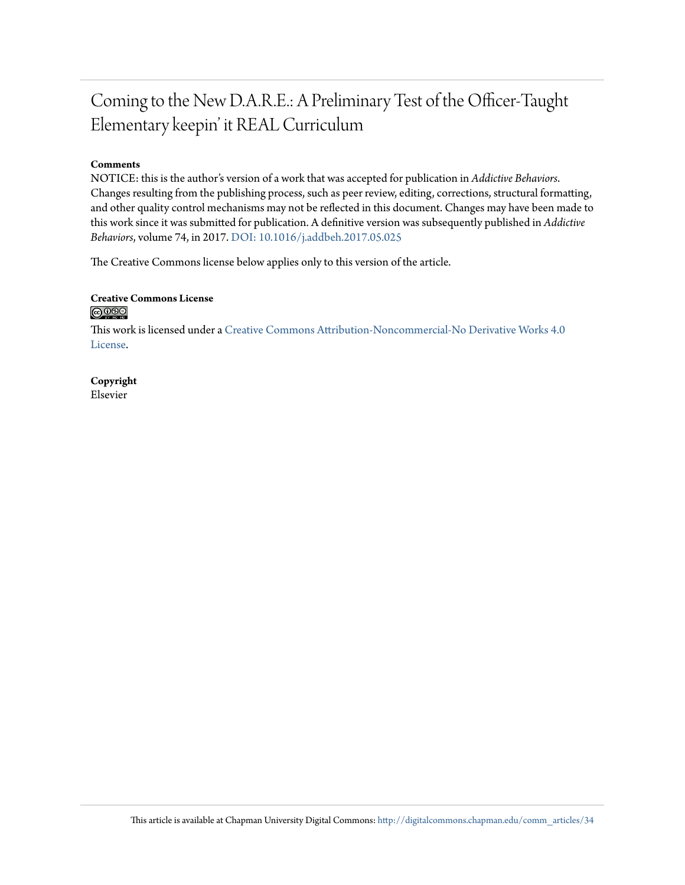## Coming to the New D.A.R.E.: A Preliminary Test of the Officer-Taught Elementary keepin' it REAL Curriculum

#### **Comments**

NOTICE: this is the author's version of a work that was accepted for publication in *Addictive Behaviors*. Changes resulting from the publishing process, such as peer review, editing, corrections, structural formatting, and other quality control mechanisms may not be reflected in this document. Changes may have been made to this work since it was submitted for publication. A definitive version was subsequently published in *Addictive Behaviors*, volume 74, in 2017. [DOI: 10.1016/j.addbeh.2017.05.025](https://doi.org/10.1016/j.addbeh.2017.05.025)

The Creative Commons license below applies only to this version of the article.

#### **Creative Commons License**  $\bigcirc$   $\circ$

This work is licensed under a [Creative Commons Attribution-Noncommercial-No Derivative Works 4.0](http://creativecommons.org/licenses/by-nc-nd/4.0/) [License.](http://creativecommons.org/licenses/by-nc-nd/4.0/)

#### **Copyright** Elsevier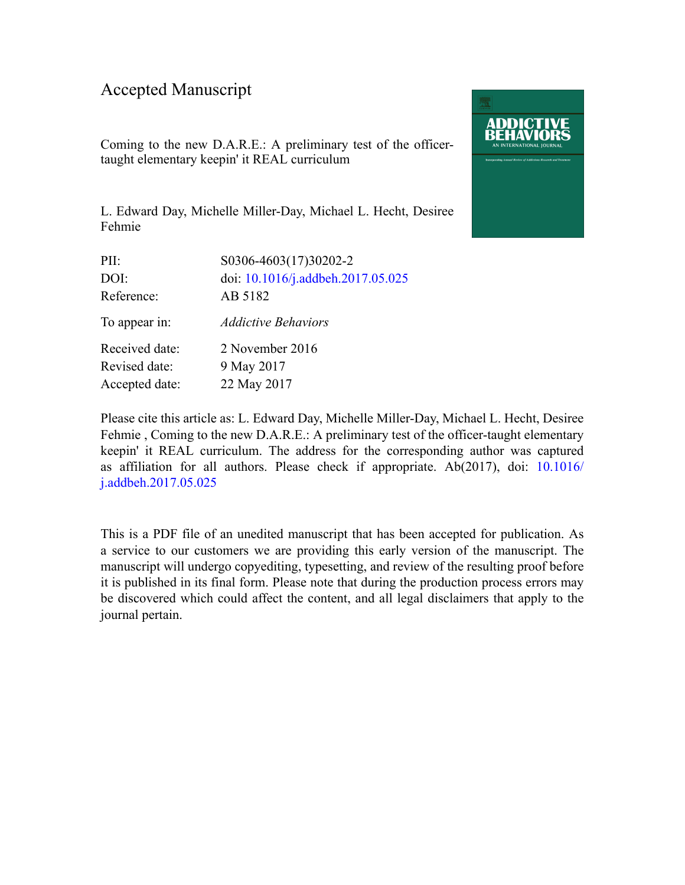### Accepted Manuscript

Coming to the new D.A.R.E.: A preliminary test of the officertaught elementary keepin' it REAL curriculum

L. Edward Day, Michelle Miller-Day, Michael L. Hecht, Desiree Fehmie

| PII:           | S0306-4603(17)30202-2             |
|----------------|-----------------------------------|
| DOI:           | doi: 10.1016/j.addbeh.2017.05.025 |
| Reference:     | AB 5182                           |
| To appear in:  | <b>Addictive Behaviors</b>        |
| Received date: | 2 November 2016                   |
| Revised date:  | 9 May 2017                        |
| Accepted date: | 22 May 2017                       |

Please cite this article as: L. Edward Day, Michelle Miller-Day, Michael L. Hecht, Desiree Fehmie, Coming to the new D.A.R.E.: A preliminary test of the officer-taught elementary keepin' it REAL curriculum. The address for the corresponding author was captured as affiliation for all authors. Please check if appropriate. Ab(2017), doi: [10.1016/](http://dx.doi.org/10.1016/j.addbeh.2017.05.025) [j.addbeh.2017.05.025](http://dx.doi.org/10.1016/j.addbeh.2017.05.025)

This is a PDF file of an unedited manuscript that has been accepted for publication. As a service to our customers we are providing this early version of the manuscript. The manuscript will undergo copyediting, typesetting, and review of the resulting proof before it is published in its final form. Please note that during the production process errors may be discovered which could affect the content, and all legal disclaimers that apply to the journal pertain.

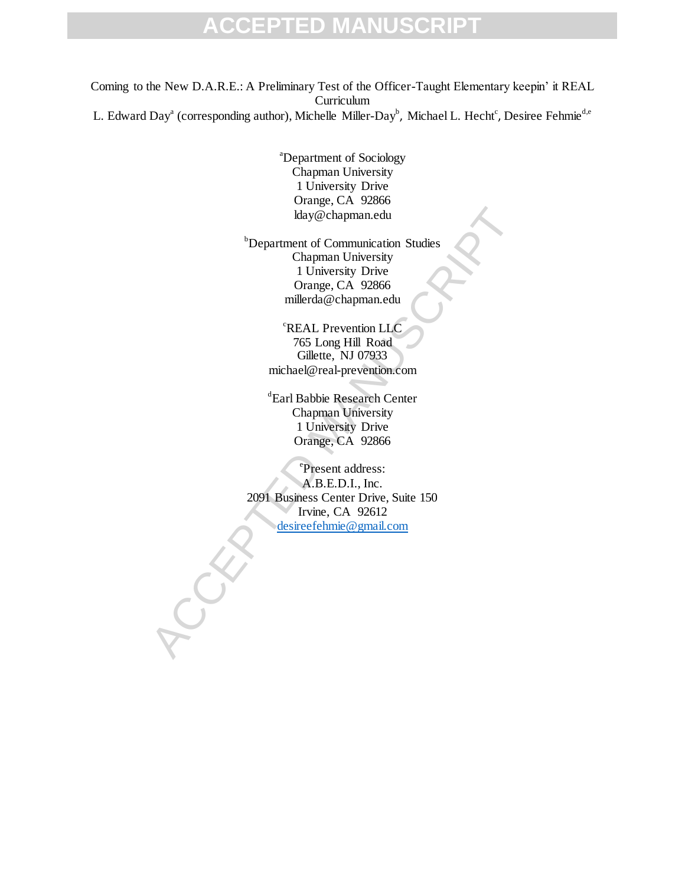Coming to the New D.A.R.E.: A Preliminary Test of the Officer-Taught Elementary keepin' it REAL **Curriculum** L. Edward Day<sup>a</sup> (corresponding author), Michelle Miller-Day<sup>b</sup>, Michael L. Hecht<sup>c</sup>, Desiree Fehmie<sup>d,e</sup>

> <sup>a</sup>Department of Sociology Chapman University 1 University Drive Orange, CA 92866 lday@chapman.edu

klay@chapman.edu<br>
bPepartment of Communication Studies<br>
Chapman University<br>
1 University Drive<br>
Crange, CA 92866<br>
millerda@chapman.edu<br>
<br>
"REAL Prevention LLC<br>
765 Long Hill Road<br>
Gillette, NJ 07933<br>
michael@real-preventio **b**Department of Communication Studies Chapman University 1 University Drive Orange, CA 92866 millerda@chapman.edu

<sup>c</sup>REAL Prevention LLC 765 Long Hill Road Gillette, NJ 07933 michael@real-prevention.com

d Earl Babbie Research Center Chapman University 1 University Drive Orange, CA 92866

e Present address: A.B.E.D.I., Inc. 2091 Business Center Drive, Suite 150 Irvine, CA 92612 desireefehmie@gmail.com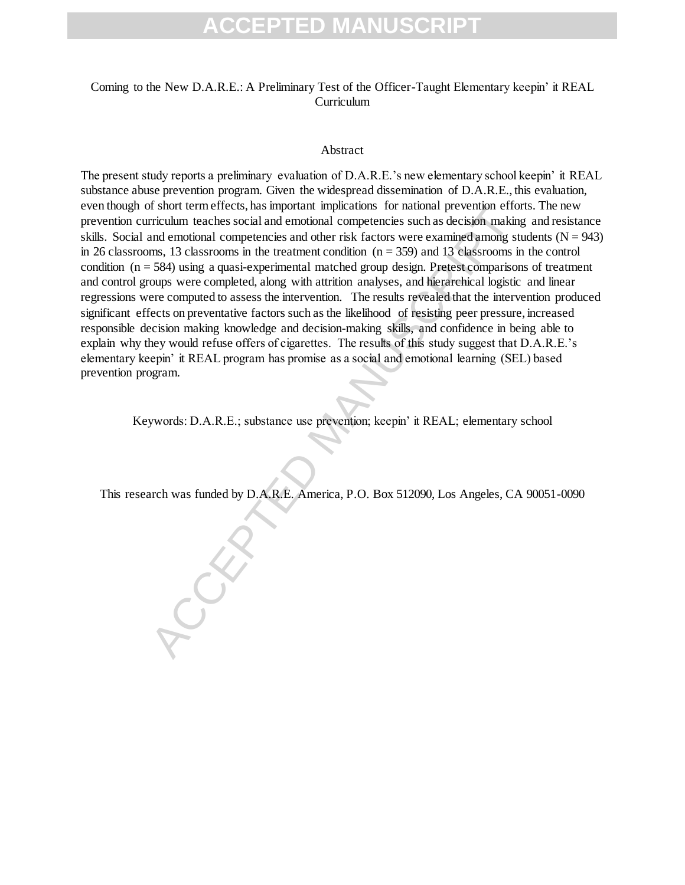#### Coming to the New D.A.R.E.: A Preliminary Test of the Officer-Taught Elementary keepin' it REAL **Curriculum**

#### Abstract

s since term effects, has important impactations for atational competencies such as decision making<br>and emotional competencies such as decision making<br>and emotional competencies such as decision making<br>and emotional compet The present study reports a preliminary evaluation of D.A.R.E.'s new elementary school keepin' it REAL substance abuse prevention program. Given the widespread dissemination of D.A.R.E., this evaluation, even though of short term effects, has important implications for national prevention efforts. The new prevention curriculum teaches social and emotional competencies such as decision making and resistance skills. Social and emotional competencies and other risk factors were examined among students ( $N = 943$ ) in 26 classrooms, 13 classrooms in the treatment condition  $(n = 359)$  and 13 classrooms in the control condition  $(n = 584)$  using a quasi-experimental matched group design. Pretest comparisons of treatment and control groups were completed, along with attrition analyses, and hierarchical logistic and linear regressions were computed to assess the intervention. The results revealed that the intervention produced significant effects on preventative factors such as the likelihood of resisting peer pressure, increased responsible decision making knowledge and decision-making skills, and confidence in being able to explain why they would refuse offers of cigarettes. The results of this study suggest that D.A.R.E.'s elementary keepin' it REAL program has promise as a social and emotional learning (SEL) based prevention program.

Keywords: D.A.R.E.; substance use prevention; keepin' it REAL; elementary school

This research was funded by D.A.R.E. America, P.O. Box 512090, Los Angeles, CA 90051-0090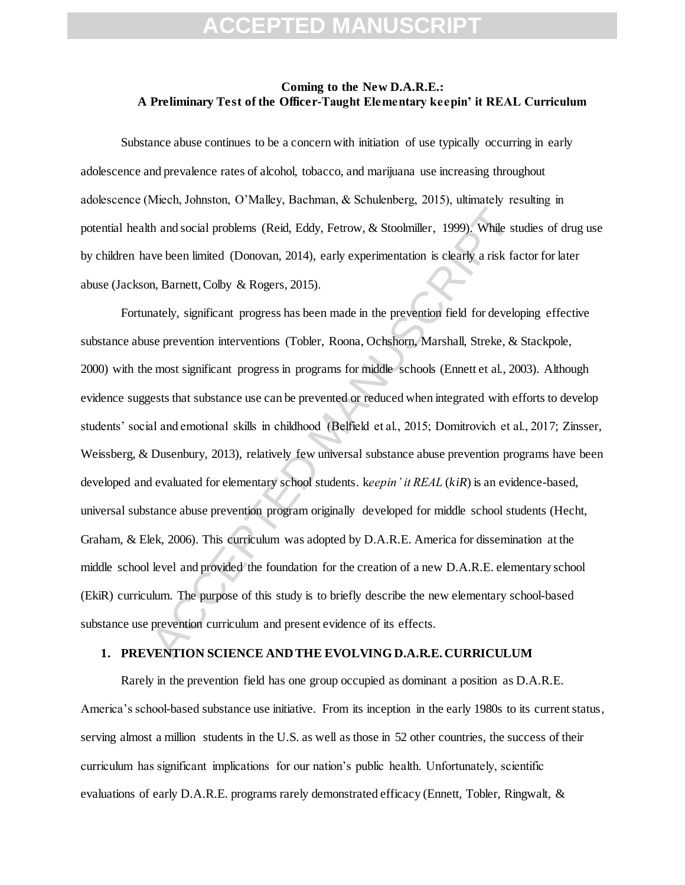#### **Coming to the New D.A.R.E.: A Preliminary Test of the Officer-Taught Elementary keepin' it REAL Curriculum**

Substance abuse continues to be a concern with initiation of use typically occurring in early adolescence and prevalence rates of alcohol, tobacco, and marijuana use increasing throughout adolescence (Miech, Johnston, O'Malley, Bachman, & Schulenberg, 2015), ultimately resulting in potential health and social problems (Reid, Eddy, Fetrow, & Stoolmiller, 1999). While studies of drug use by children have been limited (Donovan, 2014), early experimentation is clearly a risk factor for later abuse (Jackson, Barnett, Colby & Rogers, 2015).

th and social problems (Reid, Eddy, Fetrow, & Stoolmiller, 1999). While state been limited (Donovan, 2014), early experimentation is clearly a risk factor where the limited (Donovan, 2014), early experimentation is clearl Fortunately, significant progress has been made in the prevention field for developing effective substance abuse prevention interventions (Tobler, Roona, Ochshorn, Marshall, Streke, & Stackpole, 2000) with the most significant progress in programs for middle schools (Ennett et al., 2003). Although evidence suggests that substance use can be prevented or reduced when integrated with efforts to develop students' social and emotional skills in childhood (Belfield et al., 2015; Domitrovich et al., 2017; Zinsser, Weissberg, & Dusenbury, 2013), relatively few universal substance abuse prevention programs have been developed and evaluated for elementary school students. k*eepin' it REAL* (*kiR*) is an evidence-based, universal substance abuse prevention program originally developed for middle school students (Hecht, Graham, & Elek, 2006). This curriculum was adopted by D.A.R.E. America for dissemination at the middle school level and provided the foundation for the creation of a new D.A.R.E. elementary school (EkiR) curriculum. The purpose of this study is to briefly describe the new elementary school-based substance use prevention curriculum and present evidence of its effects.

#### **1. PREVENTION SCIENCE AND THE EVOLVING D.A.R.E. CURRICULUM**

Rarely in the prevention field has one group occupied as dominant a position as D.A.R.E. America's school-based substance use initiative. From its inception in the early 1980s to its current status, serving almost a million students in the U.S. as well as those in 52 other countries, the success of their curriculum has significant implications for our nation's public health. Unfortunately, scientific evaluations of early D.A.R.E. programs rarely demonstrated efficacy (Ennett, Tobler, Ringwalt, &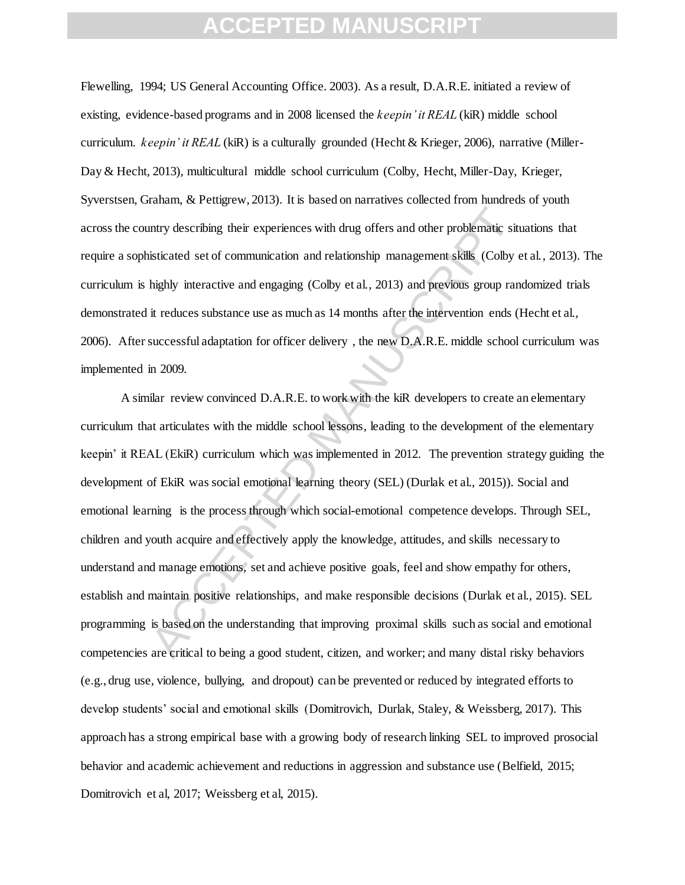Flewelling, 1994; US General Accounting Office. 2003). As a result, D.A.R.E. initiated a review of existing, evidence-based programs and in 2008 licensed the *keepin' it REAL* (kiR) middle school curriculum. *keepin' it REAL* (kiR) is a culturally grounded (Hecht & Krieger, 2006), narrative (Miller-Day & Hecht, 2013), multicultural middle school curriculum (Colby, Hecht, Miller-Day, Krieger, Syverstsen, Graham, & Pettigrew, 2013). It is based on narratives collected from hundreds of youth across the country describing their experiences with drug offers and other problematic situations that require a sophisticated set of communication and relationship management skills (Colby et al., 2013). The curriculum is highly interactive and engaging (Colby et al., 2013) and previous group randomized trials demonstrated it reduces substance use as much as 14 months after the intervention ends (Hecht et al., 2006). After successful adaptation for officer delivery , the new D.A.R.E. middle school curriculum was implemented in 2009.

Intry describing their experiences with drug offers and other problematic situations and the problematic situations and relationship management skills (Colby eighly interactive and engaging (Colby et al., 2013) and previou A similar review convinced D.A.R.E. to work with the kiR developers to create an elementary curriculum that articulates with the middle school lessons, leading to the development of the elementary keepin' it REAL (EkiR) curriculum which was implemented in 2012. The prevention strategy guiding the development of EkiR was social emotional learning theory (SEL) (Durlak et al., 2015)). Social and emotional learning is the process through which social-emotional competence develops. Through SEL, children and youth acquire and effectively apply the knowledge, attitudes, and skills necessary to understand and manage emotions, set and achieve positive goals, feel and show empathy for others, establish and maintain positive relationships, and make responsible decisions (Durlak et al., 2015). SEL programming is based on the understanding that improving proximal skills such as social and emotional competencies are critical to being a good student, citizen, and worker; and many distal risky behaviors (e.g., drug use, violence, bullying, and dropout) can be prevented or reduced by integrated efforts to develop students' social and emotional skills (Domitrovich, Durlak, Staley, & Weissberg, 2017). This approach has a strong empirical base with a growing body of research linking SEL to improved prosocial behavior and academic achievement and reductions in aggression and substance use (Belfield, 2015; Domitrovich et al, 2017; Weissberg et al, 2015).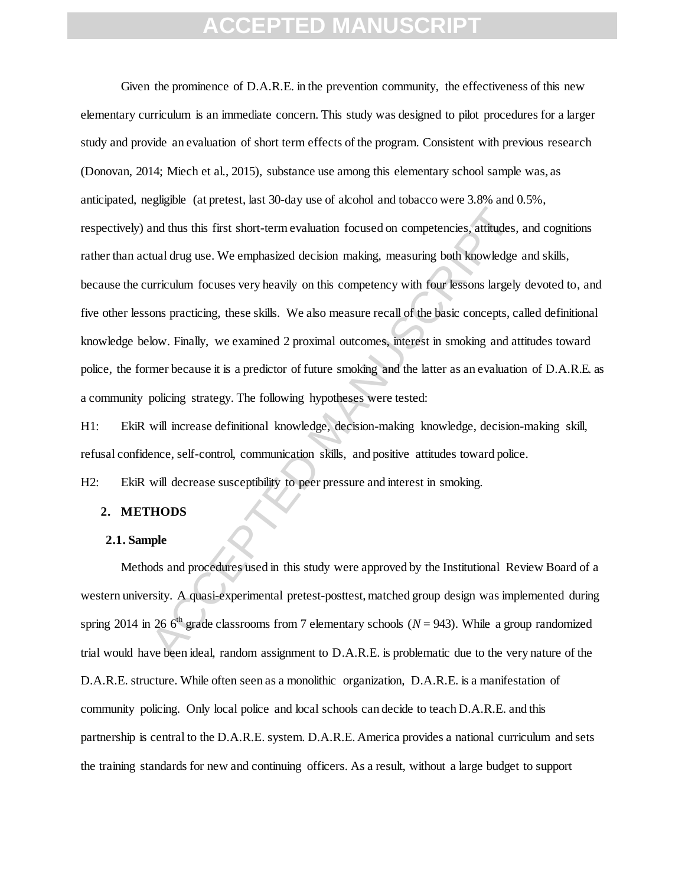**Example 12** and thus this first short-term evaluation focused on competencies, attitudes, tual drug use. We emphasized decision making, measuring both knowledge urriculum focuses very heavily on this competency with four Given the prominence of D.A.R.E. in the prevention community, the effectiveness of this new elementary curriculum is an immediate concern. This study was designed to pilot procedures for a larger study and provide an evaluation of short term effects of the program. Consistent with previous research (Donovan, 2014; Miech et al., 2015), substance use among this elementary school sample was, as anticipated, negligible (at pretest, last 30-day use of alcohol and tobacco were 3.8% and 0.5%, respectively) and thus this first short-term evaluation focused on competencies, attitudes, and cognitions rather than actual drug use. We emphasized decision making, measuring both knowledge and skills, because the curriculum focuses very heavily on this competency with four lessons largely devoted to, and five other lessons practicing, these skills. We also measure recall of the basic concepts, called definitional knowledge below. Finally, we examined 2 proximal outcomes, interest in smoking and attitudes toward police, the former because it is a predictor of future smoking and the latter as an evaluation of D.A.R.E. as a community policing strategy. The following hypotheses were tested:

H1: EkiR will increase definitional knowledge, decision-making knowledge, decision-making skill, refusal confidence, self-control, communication skills, and positive attitudes toward police.

H2: EkiR will decrease susceptibility to peer pressure and interest in smoking.

#### **2. METHODS**

#### **2.1. Sample**

Methods and procedures used in this study were approved by the Institutional Review Board of a western university. A quasi-experimental pretest-posttest, matched group design was implemented during spring 2014 in 26  $6<sup>th</sup>$  grade classrooms from 7 elementary schools ( $N = 943$ ). While a group randomized trial would have been ideal, random assignment to D.A.R.E. is problematic due to the very nature of the D.A.R.E. structure. While often seen as a monolithic organization, D.A.R.E. is a manifestation of community policing. Only local police and local schools can decide to teach D.A.R.E. and this partnership is central to the D.A.R.E. system. D.A.R.E. America provides a national curriculum and sets the training standards for new and continuing officers. As a result, without a large budget to support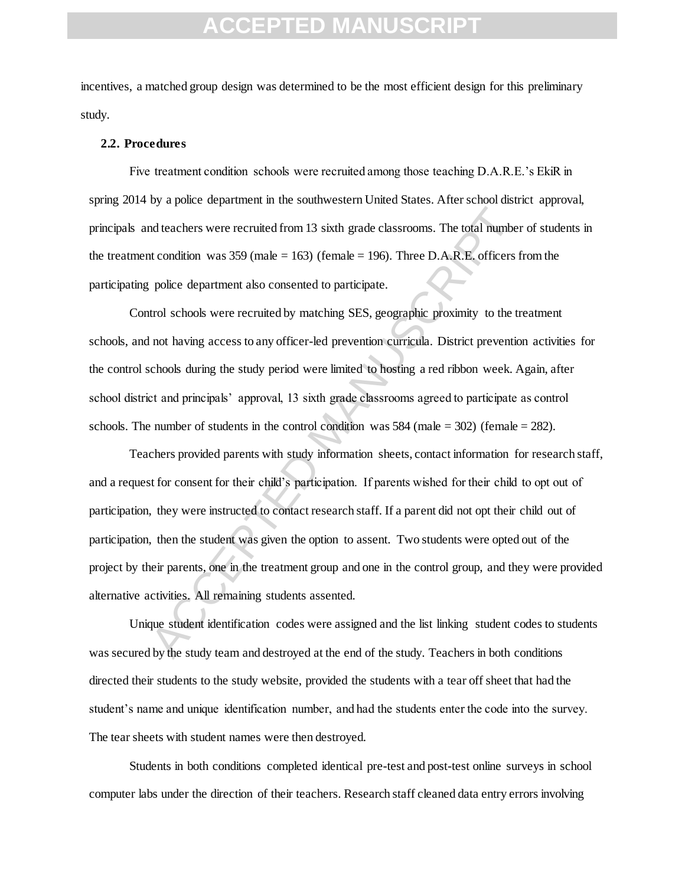incentives, a matched group design was determined to be the most efficient design for this preliminary study.

#### **2.2. Procedures**

Five treatment condition schools were recruited among those teaching D.A.R.E.'s EkiR in spring 2014 by a police department in the southwestern United States. After school district approval, principals and teachers were recruited from 13 sixth grade classrooms. The total number of students in the treatment condition was  $359$  (male = 163) (female = 196). Three D.A.R.E. officers from the participating police department also consented to participate.

Control schools were recruited by matching SES, geographic proximity to the treatment schools, and not having access to any officer-led prevention curricula. District prevention activities for the control schools during the study period were limited to hosting a red ribbon week. Again, after school district and principals' approval, 13 sixth grade classrooms agreed to participate as control schools. The number of students in the control condition was  $584$  (male = 302) (female = 282).

ordinated parameterized from 13 sixth grade classrooms. The total number at condition was 359 (male = 163) (female = 196). Three D.A.R.E. officers f police department also consented to participate.<br>
trol schools were recr Teachers provided parents with study information sheets, contact information for research staff, and a request for consent for their child's participation. If parents wished for their child to opt out of participation, they were instructed to contact research staff. If a parent did not opt their child out of participation, then the student was given the option to assent. Two students were opted out of the project by their parents, one in the treatment group and one in the control group, and they were provided alternative activities. All remaining students assented.

Unique student identification codes were assigned and the list linking student codes to students was secured by the study team and destroyed at the end of the study. Teachers in both conditions directed their students to the study website, provided the students with a tear off sheet that had the student's name and unique identification number, and had the students enter the code into the survey. The tear sheets with student names were then destroyed.

Students in both conditions completed identical pre-test and post-test online surveys in school computer labs under the direction of their teachers. Research staff cleaned data entry errors involving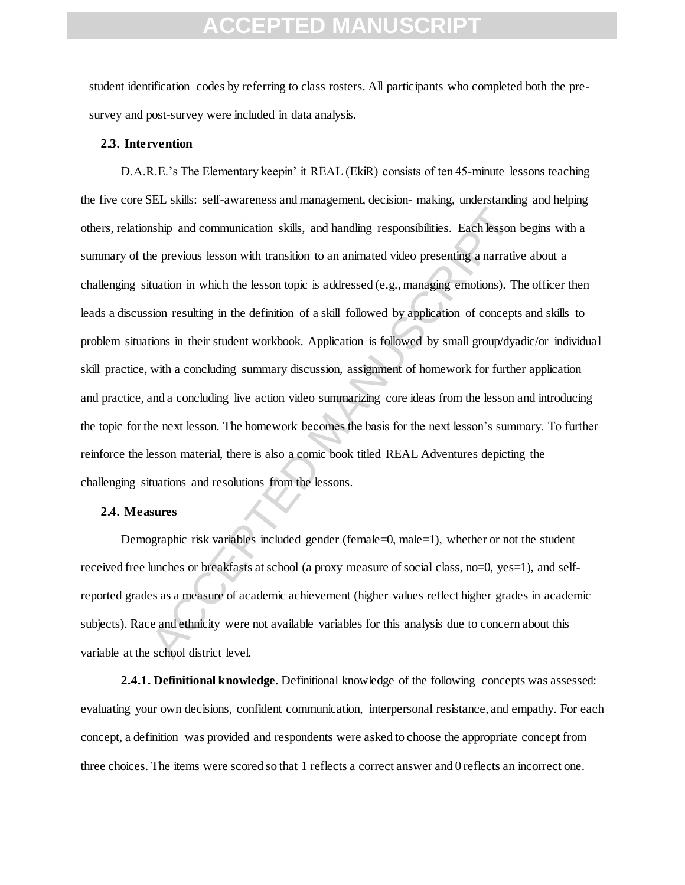student identification codes by referring to class rosters. All participants who completed both the presurvey and post-survey were included in data analysis.

#### **2.3. Intervention**

nship and communication skills, and handling responsibilities. Each lesson le previous lesson with transition to an animated video presenting a narrative tuation in which the lesson topic is addressed (e.g., managing emoti D.A.R.E.'s The Elementary keepin' it REAL (EkiR) consists of ten 45-minute lessons teaching the five core SEL skills: self-awareness and management, decision- making, understanding and helping others, relationship and communication skills, and handling responsibilities. Each lesson begins with a summary of the previous lesson with transition to an animated video presenting a narrative about a challenging situation in which the lesson topic is addressed (e.g., managing emotions). The officer then leads a discussion resulting in the definition of a skill followed by application of concepts and skills to problem situations in their student workbook. Application is followed by small group/dyadic/or individual skill practice, with a concluding summary discussion, assignment of homework for further application and practice, and a concluding live action video summarizing core ideas from the lesson and introducing the topic for the next lesson. The homework becomes the basis for the next lesson's summary. To further reinforce the lesson material, there is also a comic book titled REAL Adventures depicting the challenging situations and resolutions from the lessons.

#### **2.4. Measures**

Demographic risk variables included gender (female=0, male=1), whether or not the student received free lunches or breakfasts at school (a proxy measure of social class, no=0, yes=1), and selfreported grades as a measure of academic achievement (higher values reflect higher grades in academic subjects). Race and ethnicity were not available variables for this analysis due to concern about this variable at the school district level.

**2.4.1. Definitional knowledge**. Definitional knowledge of the following concepts was assessed: evaluating your own decisions, confident communication, interpersonal resistance, and empathy. For each concept, a definition was provided and respondents were asked to choose the appropriate concept from three choices. The items were scored so that 1 reflects a correct answer and 0 reflects an incorrect one.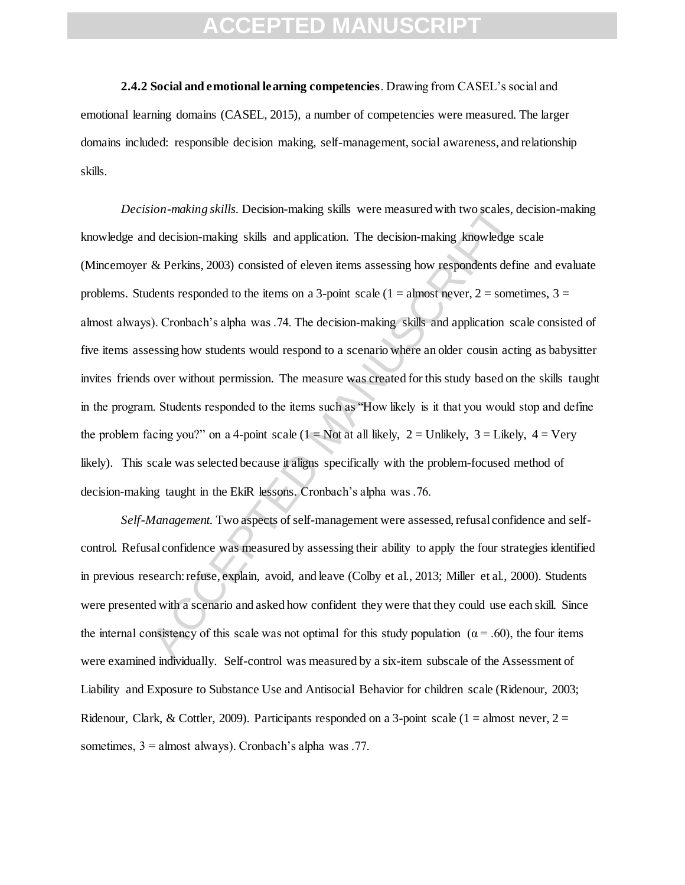**2.4.2 Social and emotional learning competencies**. Drawing from CASEL's social and emotional learning domains (CASEL, 2015), a number of competencies were measured. The larger domains included: responsible decision making, self-management, social awareness, and relationship skills.

ion-making skills. Decision-making skills were measured with two scales, d<br>d decision-making skills and application. The decision-making knowledge<br>& Perkins, 2003) consisted of eleven items assessing how respondents defit *Decision-making skills.* Decision-making skills were measured with two scales, decision-making knowledge and decision-making skills and application. The decision-making knowledge scale (Mincemoyer & Perkins, 2003) consisted of eleven items assessing how respondents define and evaluate problems. Students responded to the items on a 3-point scale ( $1 =$ almost never,  $2 =$  sometimes,  $3 =$ almost always). Cronbach's alpha was .74. The decision-making skills and application scale consisted of five items assessing how students would respond to a scenario where an older cousin acting as babysitter invites friends over without permission. The measure was created for this study based on the skills taught in the program. Students responded to the items such as "How likely is it that you would stop and define the problem facing you?" on a 4-point scale (1 = Not at all likely, 2 = Unlikely, 3 = Likely, 4 = Very likely). This scale was selected because it aligns specifically with the problem-focused method of decision-making taught in the EkiR lessons. Cronbach's alpha was .76.

*Self-Management.* Two aspects of self-management were assessed, refusal confidence and selfcontrol. Refusal confidence was measured by assessing their ability to apply the four strategies identified in previous research: refuse, explain, avoid, and leave (Colby et al., 2013; Miller et al., 2000). Students were presented with a scenario and asked how confident they were that they could use each skill. Since the internal consistency of this scale was not optimal for this study population ( $\alpha$  = .60), the four items were examined individually. Self-control was measured by a six-item subscale of the Assessment of Liability and Exposure to Substance Use and Antisocial Behavior for children scale (Ridenour, 2003; Ridenour, Clark, & Cottler, 2009). Participants responded on a 3-point scale (1 = almost never,  $2 =$ sometimes, 3 = almost always). Cronbach's alpha was .77.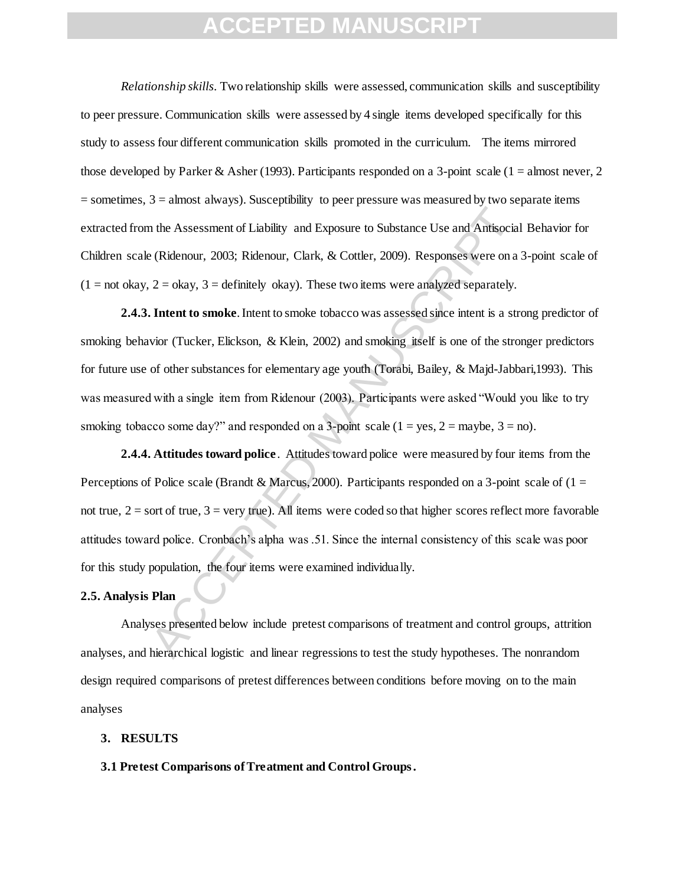*Relationship skills.* Two relationship skills were assessed, communication skills and susceptibility to peer pressure. Communication skills were assessed by 4 single items developed specifically for this study to assess four different communication skills promoted in the curriculum. The items mirrored those developed by Parker & Asher (1993). Participants responded on a 3-point scale (1 = almost never, 2  $=$  sometimes,  $3 =$  almost always). Susceptibility to peer pressure was measured by two separate items extracted from the Assessment of Liability and Exposure to Substance Use and Antisocial Behavior for Children scale (Ridenour, 2003; Ridenour, Clark, & Cottler, 2009). Responses were on a 3-point scale of  $(1 = not okay, 2 = okay, 3 = definitely okay)$ . These two items were analyzed separately.

In the Assessment of Liability and Exposure to Substance Use and Antisocial<br>
(Ridenour, 2003; Ridenour, Clark, & Cottler, 2009). Responses were on a<br>  $2 = \alpha kxy$ ,  $3 = \alpha ky$ ,  $\alpha kz$  Cottler, 2009). Responses were on a<br>  $2 = \alpha kxy$ **2.4.3. Intent to smoke**. Intent to smoke tobacco was assessed since intent is a strong predictor of smoking behavior (Tucker, Elickson, & Klein, 2002) and smoking itself is one of the stronger predictors for future use of other substances for elementary age youth (Torabi, Bailey, & Majd-Jabbari,1993). This was measured with a single item from Ridenour (2003). Participants were asked "Would you like to try smoking tobacco some day?" and responded on a 3-point scale  $(1 = yes, 2 = maybe, 3 = no)$ .

**2.4.4. Attitudes toward police**. Attitudes toward police were measured by four items from the Perceptions of Police scale (Brandt & Marcus, 2000). Participants responded on a 3-point scale of  $(1 =$ not true,  $2 =$  sort of true,  $3 =$  very true). All items were coded so that higher scores reflect more favorable attitudes toward police. Cronbach's alpha was .51. Since the internal consistency of this scale was poor for this study population, the four items were examined individually.

#### **2.5. Analysis Plan**

Analyses presented below include pretest comparisons of treatment and control groups, attrition analyses, and hierarchical logistic and linear regressions to test the study hypotheses. The nonrandom design required comparisons of pretest differences between conditions before moving on to the main analyses

#### **3. RESULTS**

#### **3.1 Pretest Comparisons of Treatment and Control Groups.**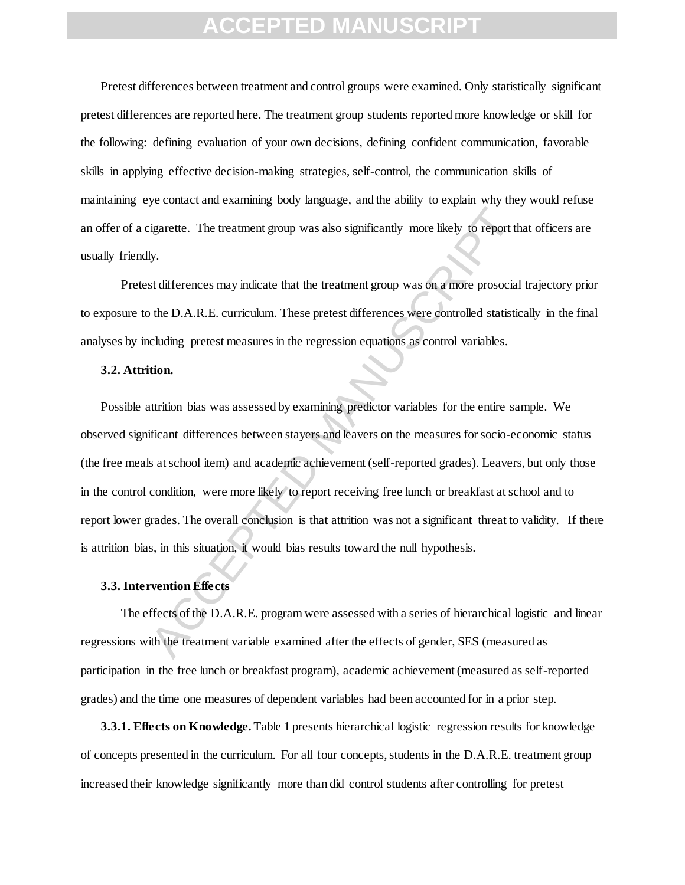Pretest differences between treatment and control groups were examined. Only statistically significant pretest differences are reported here. The treatment group students reported more knowledge or skill for the following: defining evaluation of your own decisions, defining confident communication, favorable skills in applying effective decision-making strategies, self-control, the communication skills of maintaining eye contact and examining body language, and the ability to explain why they would refuse an offer of a cigarette. The treatment group was also significantly more likely to report that officers are usually friendly.

Pretest differences may indicate that the treatment group was on a more prosocial trajectory prior to exposure to the D.A.R.E. curriculum. These pretest differences were controlled statistically in the final analyses by including pretest measures in the regression equations as control variables.

#### **3.2. Attrition.**

igarette. The treatment group was also significantly more likely to report the differences may indicate that the treatment group was on a more prosocial of the D.A.R.E. curriculum. These pretest differences were controlled Possible attrition bias was assessed by examining predictor variables for the entire sample. We observed significant differences between stayers and leavers on the measures for socio-economic status (the free meals at school item) and academic achievement (self-reported grades). Leavers, but only those in the control condition, were more likely to report receiving free lunch or breakfast at school and to report lower grades. The overall conclusion is that attrition was not a significant threat to validity. If there is attrition bias, in this situation, it would bias results toward the null hypothesis.

#### **3.3. Intervention Effects**

The effects of the D.A.R.E. program were assessed with a series of hierarchical logistic and linear regressions with the treatment variable examined after the effects of gender, SES (measured as participation in the free lunch or breakfast program), academic achievement (measured as self-reported grades) and the time one measures of dependent variables had been accounted for in a prior step.

**3.3.1. Effects on Knowledge.** Table 1 presents hierarchical logistic regression results for knowledge of concepts presented in the curriculum. For all four concepts, students in the D.A.R.E. treatment group increased their knowledge significantly more than did control students after controlling for pretest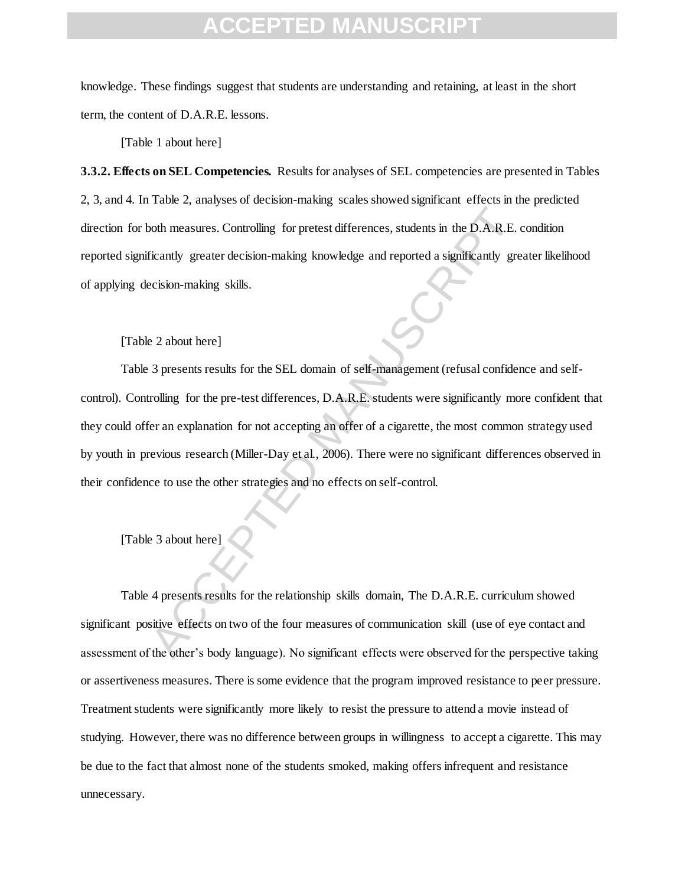knowledge. These findings suggest that students are understanding and retaining, at least in the short term, the content of D.A.R.E. lessons.

[Table 1 about here]

**3.3.2. Effects on SEL Competencies.** Results for analyses of SEL competencies are presented in Tables 2, 3, and 4. In Table 2, analyses of decision-making scales showed significant effects in the predicted direction for both measures. Controlling for pretest differences, students in the D.A.R.E. condition reported significantly greater decision-making knowledge and reported a significantly greater likelihood of applying decision-making skills.

#### [Table 2 about here]

both measures. Controlling for pretest differences, students in the D.A.R.E.<br>
Eicantly greater decision-making knowledge and reported a significantly grecision-making skills.<br>
2 a bout here]<br>
3 presents results for the SEL Table 3 presents results for the SEL domain of self-management (refusal confidence and selfcontrol). Controlling for the pre-test differences, D.A.R.E. students were significantly more confident that they could offer an explanation for not accepting an offer of a cigarette, the most common strategy used by youth in previous research (Miller-Day et al., 2006). There were no significant differences observed in their confidence to use the other strategies and no effects on self-control.

#### [Table 3 about here]

Table 4 presents results for the relationship skills domain, The D.A.R.E. curriculum showed significant positive effects on two of the four measures of communication skill (use of eye contact and assessment of the other's body language). No significant effects were observed for the perspective taking or assertiveness measures. There is some evidence that the program improved resistance to peer pressure. Treatment students were significantly more likely to resist the pressure to attend a movie instead of studying. However, there was no difference between groups in willingness to accept a cigarette. This may be due to the fact that almost none of the students smoked, making offers infrequent and resistance unnecessary.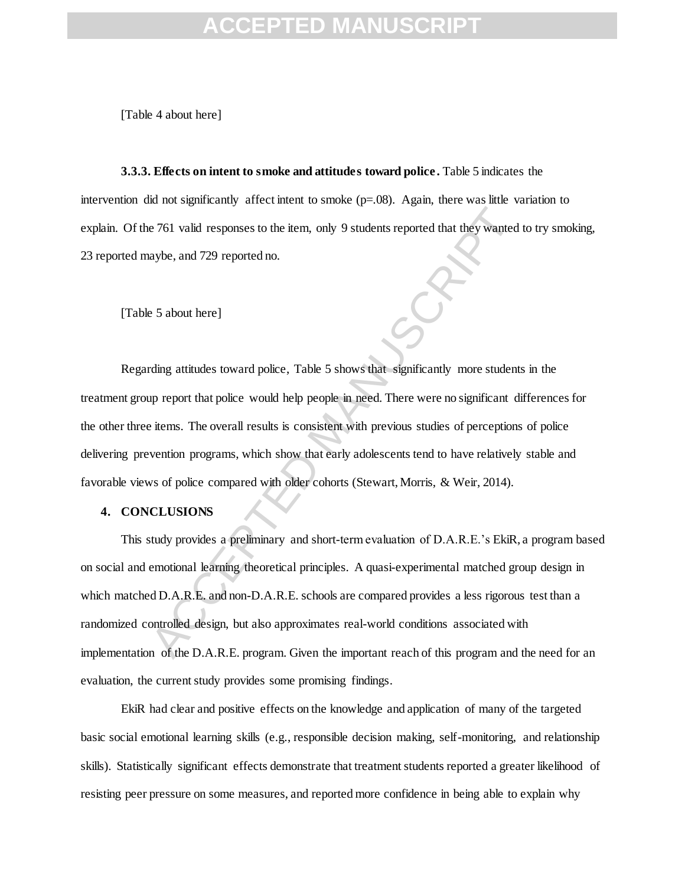[Table 4 about here]

**3.3.3. Effects on intent to smoke and attitudes toward police .** Table 5 indicates the intervention did not significantly affect intent to smoke  $(p=.08)$ . Again, there was little variation to explain. Of the 761 valid responses to the item, only 9 students reported that they wanted to try smoking, 23 reported maybe, and 729 reported no.

[Table 5 about here]

c 761 valid responses to the item, only 9 students reported that they wanted<br>aybe, and 729 reported no.<br>
E 5 about here]<br>
Accept and T29 reported no.<br>
E 5 about here]<br>
Accept and policie would help people in need. There we Regarding attitudes toward police, Table 5 shows that significantly more students in the treatment group report that police would help people in need. There were no significant differences for the other three items. The overall results is consistent with previous studies of perceptions of police delivering prevention programs, which show that early adolescents tend to have relatively stable and favorable views of police compared with older cohorts (Stewart, Morris, & Weir, 2014).

#### **4. CONCLUSIONS**

This study provides a preliminary and short-term evaluation of D.A.R.E.'s EkiR, a program based on social and emotional learning theoretical principles. A quasi-experimental matched group design in which matched D.A.R.E. and non-D.A.R.E. schools are compared provides a less rigorous test than a randomized controlled design, but also approximates real-world conditions associated with implementation of the D.A.R.E. program. Given the important reach of this program and the need for an evaluation, the current study provides some promising findings.

EkiR had clear and positive effects on the knowledge and application of many of the targeted basic social emotional learning skills (e.g., responsible decision making, self-monitoring, and relationship skills). Statistically significant effects demonstrate that treatment students reported a greater likelihood of resisting peer pressure on some measures, and reported more confidence in being able to explain why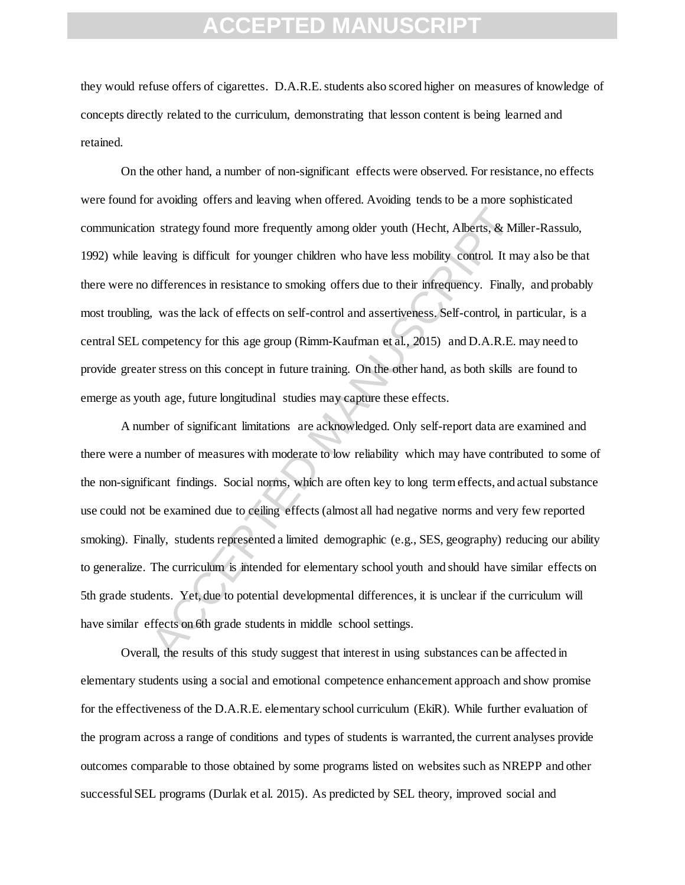they would refuse offers of cigarettes. D.A.R.E. students also scored higher on measures of knowledge of concepts directly related to the curriculum, demonstrating that lesson content is being learned and retained.

On the other hand, a number of non-significant effects were observed. For resistance, no effects were found for avoiding offers and leaving when offered. Avoiding tends to be a more sophisticated communication strategy found more frequently among older youth (Hecht, Alberts, & Miller-Rassulo, 1992) while leaving is difficult for younger children who have less mobility control. It may also be that there were no differences in resistance to smoking offers due to their infrequency. Finally, and probably most troubling, was the lack of effects on self-control and assertiveness. Self-control, in particular, is a central SEL competency for this age group (Rimm-Kaufman et al., 2015) and D.A.R.E. may need to provide greater stress on this concept in future training. On the other hand, as both skills are found to emerge as youth age, future longitudinal studies may capture these effects.

In strategy found more frequently among older youth (Hecht, Alberts, & Mi<br>aving is difficult for younger children who have less mobility control. It mat<br>differences in resistance to smoking offers due to their infrequency. A number of significant limitations are acknowledged. Only self-report data are examined and there were a number of measures with moderate to low reliability which may have contributed to some of the non-significant findings. Social norms, which are often key to long term effects, and actual substance use could not be examined due to ceiling effects (almost all had negative norms and very few reported smoking). Finally, students represented a limited demographic (e.g., SES, geography) reducing our ability to generalize. The curriculum is intended for elementary school youth and should have similar effects on 5th grade students. Yet, due to potential developmental differences, it is unclear if the curriculum will have similar effects on 6th grade students in middle school settings.

Overall, the results of this study suggest that interest in using substances can be affected in elementary students using a social and emotional competence enhancement approach and show promise for the effectiveness of the D.A.R.E. elementary school curriculum (EkiR). While further evaluation of the program across a range of conditions and types of students is warranted, the current analyses provide outcomes comparable to those obtained by some programs listed on websites such as NREPP and other successful SEL programs (Durlak et al. 2015). As predicted by SEL theory, improved social and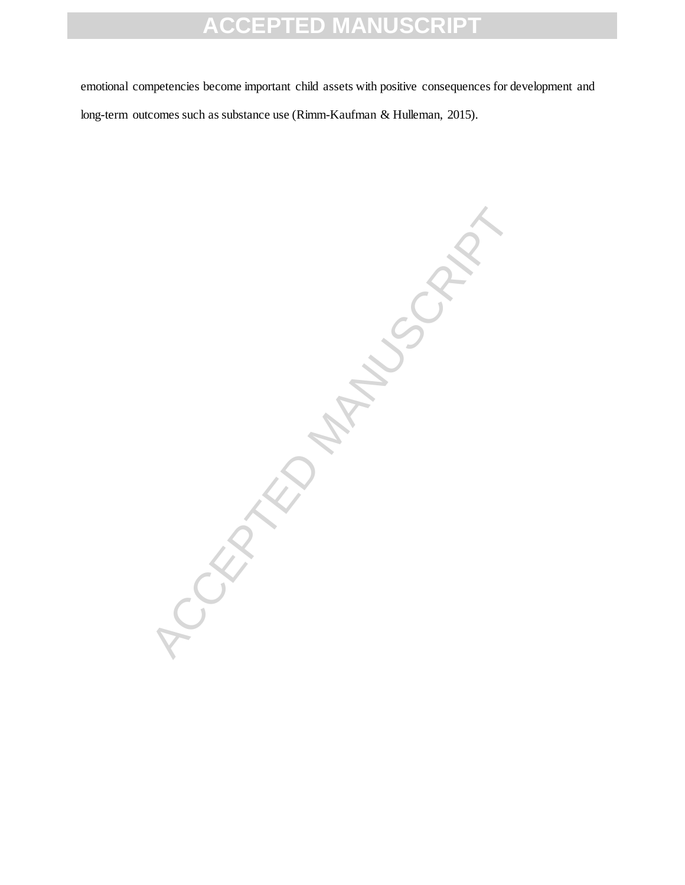emotional competencies become important child assets with positive consequences for development and long-term outcomes such as substance use (Rimm-Kaufman & Hulleman, 2015).

**100 FRAME MANUSCRIPT**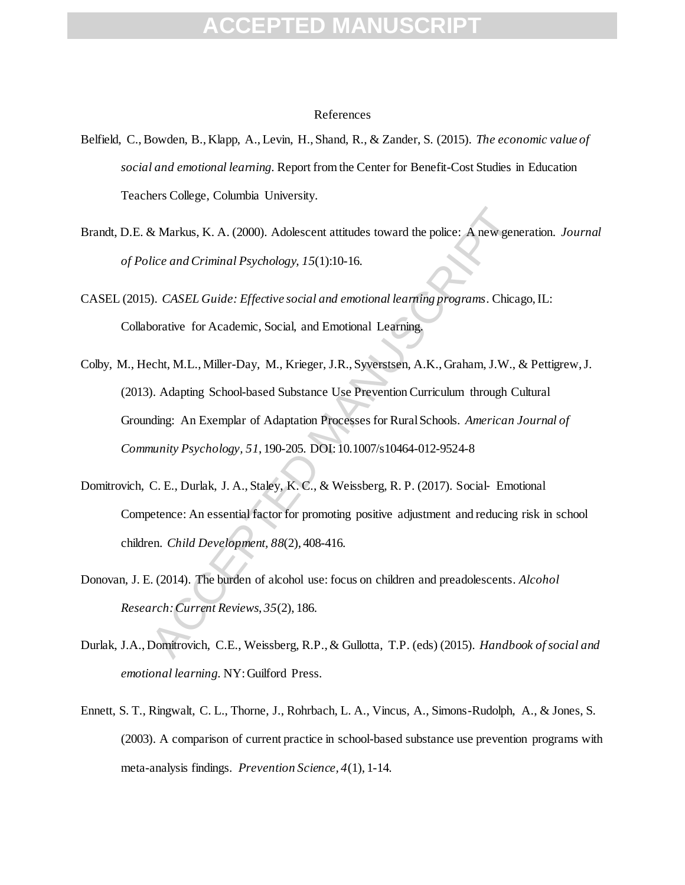#### References

- Belfield, C., Bowden, B., Klapp, A., Levin, H., Shand, R., & Zander, S. (2015). *The economic value of social and emotional learning*. Report from the Center for Benefit-Cost Studies in Education Teachers College, Columbia University.
- Brandt, D.E. & Markus, K. A. (2000). Adolescent attitudes toward the police: A new generation. *Journal of Police and Criminal Psychology, 15*(1):10-16.
- CASEL (2015). *CASEL Guide: Effective social and emotional learning programs*. Chicago, IL: Collaborative for Academic, Social, and Emotional Learning.
- R. Markus, K. A. (2000). Adolescent attitudes toward the police: A new genuitiee and Criminal Psychology, 15(1):10-16.<br>
S. CASEL Guide: Effective social and emotional learning programs. Chica,<br>
orative for Academic, Social Colby, M., Hecht, M.L., Miller-Day, M., Krieger, J.R., Syverstsen, A.K., Graham, J.W., & Pettigrew, J. (2013). Adapting School-based Substance Use Prevention Curriculum through Cultural Grounding: An Exemplar of Adaptation Processes for Rural Schools. *American Journal of Community Psychology, 51*, 190-205. DOI: 10.1007/s10464-012-9524-8
- Domitrovich, C. E., Durlak, J. A., Staley, K. C., & Weissberg, R. P. (2017). Social‐ Emotional Competence: An essential factor for promoting positive adjustment and reducing risk in school children. *Child Development, 88*(2), 408-416.
- Donovan, J. E. (2014). The burden of alcohol use: focus on children and preadolescents*. Alcohol Research: Current Reviews*, *35*(2), 186.
- Durlak, J.A., Domitrovich, C.E., Weissberg, R.P., & Gullotta, T.P. (eds) (2015). *Handbook of social and emotional learning*. NY: Guilford Press.
- Ennett, S. T., Ringwalt, C. L., Thorne, J., Rohrbach, L. A., Vincus, A., Simons-Rudolph, A., & Jones, S. (2003). A comparison of current practice in school-based substance use prevention programs with meta-analysis findings. *Prevention Science, 4*(1), 1-14.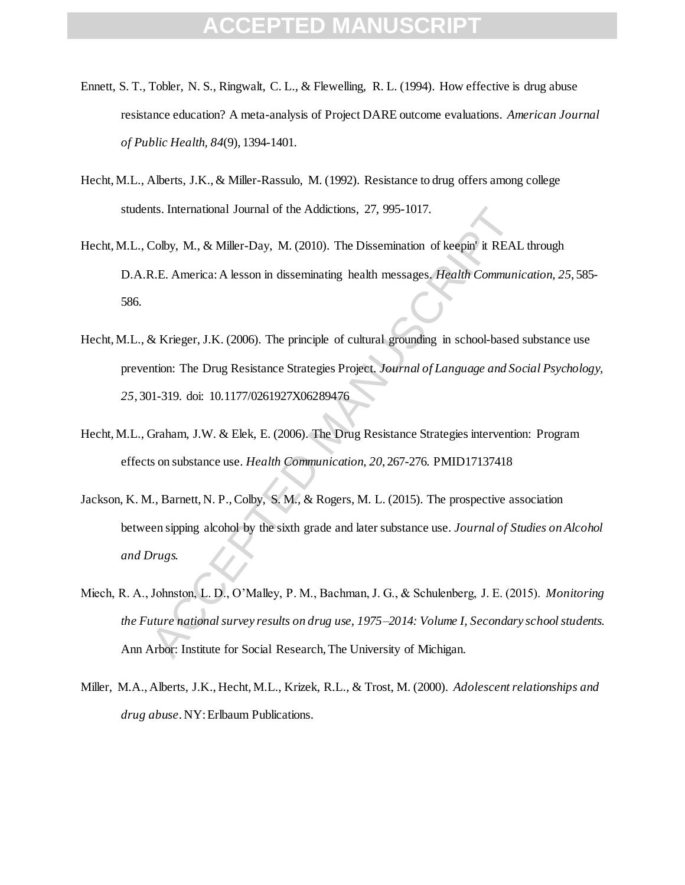- Ennett, S. T., Tobler, N. S., Ringwalt, C. L., & Flewelling, R. L. (1994). How effective is drug abuse resistance education? A meta-analysis of Project DARE outcome evaluations. *American Journal of Public Health, 84*(9), 1394-1401.
- Hecht, M.L., Alberts, J.K., & Miller-Rassulo, M. (1992). Resistance to drug offers among college students. International Journal of the Addictions, 27, 995-1017.
- Hecht, M.L., Colby, M., & Miller-Day, M. (2010). The Dissemination of keepin' it REAL through D.A.R.E. America: A lesson in disseminating health messages. *Health Communication, 25*, 585- 586.
- Its. International Journal of the Addictions, 27, 995-1017.<br>Colby, M., & Miller-Day, M. (2010). The Dissemination of keepin<sup>9</sup> it REAI<br>R.E. America: A lesson in disseminating health messages. *Health Communi*<br>& Krieger, J. Hecht, M.L., & Krieger, J.K. (2006). The principle of cultural grounding in school-based substance use prevention: The Drug Resistance Strategies Project. *Journal of Language and Social Psychology, 25*, 301-319. doi: 10.1177/0261927X06289476
- Hecht, M.L., Graham, J.W. & Elek, E. (2006). The Drug Resistance Strategies intervention: Program effects on substance use. *Health Communication, 20*, 267-276. PMID17137418
- Jackson, K. M., Barnett, N. P., Colby, S. M., & Rogers, M. L. (2015). The prospective association between sipping alcohol by the sixth grade and later substance use. *Journal of Studies on Alcohol and Drugs.*
- Miech, R. A., Johnston, L. D., O'Malley, P. M., Bachman, J. G., & Schulenberg, J. E. (2015). *Monitoring the Future national survey results on drug use, 1975–2014: Volume I, Secondary school students*. Ann Arbor: Institute for Social Research, The University of Michigan.
- Miller, M.A., Alberts, J.K., Hecht, M.L., Krizek, R.L., & Trost, M. (2000). *Adolescent relationships and drug abuse*. NY: Erlbaum Publications.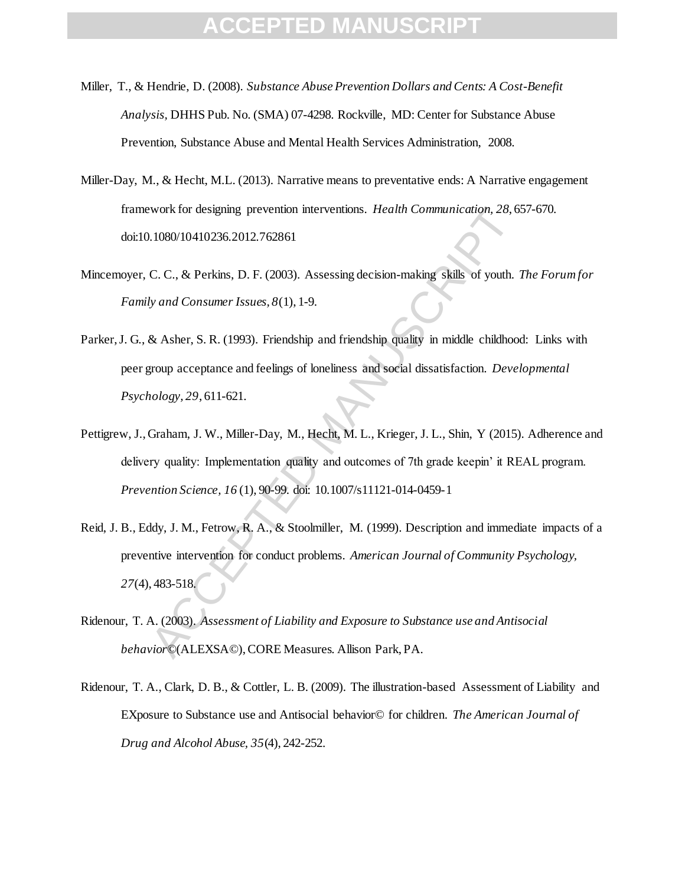- Miller, T., & Hendrie, D. (2008). *Substance Abuse Prevention Dollars and Cents: A Cost-Benefit Analysis,* DHHS Pub. No. (SMA) 07-4298. Rockville, MD: Center for Substance Abuse Prevention, Substance Abuse and Mental Health Services Administration, 2008.
- Miller-Day, M., & Hecht, M.L. (2013). Narrative means to preventative ends: A Narrative engagement framework for designing prevention interventions. *Health Communication, 28*, 657-670. doi:10.1080/10410236.2012.762861
- Mincemoyer, C. C., & Perkins, D. F. (2003). Assessing decision-making skills of youth. *The Forum for Family and Consumer Issues, 8*(1), 1-9.
- Parker, J. G., & Asher, S. R. (1993). Friendship and friendship quality in middle childhood: Links with peer group acceptance and feelings of loneliness and social dissatisfaction. *Developmental Psychology, 29*, 611-621.
- Pettigrew, J., Graham, J. W., Miller-Day, M., Hecht, M. L., Krieger, J. L., Shin, Y (2015). Adherence and delivery quality: Implementation quality and outcomes of 7th grade keepin' it REAL program. *Prevention Science, 16* (1), 90-99. doi: 10.1007/s11121-014-0459-1
- work for designing prevention interventions. *Health Communication*, 28, 6:<br>1.080/10410236.2012.762861<br>C. C., & Perkins, D. F. (2003). Assessing decision-making skills of youth. *'*<br>*by and Consumer Issues, 8*(1), 1-9.<br>& A Reid, J. B., Eddy, J. M., Fetrow, R. A., & Stoolmiller, M. (1999). Description and immediate impacts of a preventive intervention for conduct problems. *American Journal of Community Psychology, 27*(4), 483-518.
- Ridenour, T. A. (2003). *Assessment of Liability and Exposure to Substance use and Antisocial behavior*©(ALEXSA©), CORE Measures. Allison Park, PA.
- Ridenour, T. A., Clark, D. B., & Cottler, L. B. (2009). The illustration-based Assessment of Liability and EXposure to Substance use and Antisocial behavior© for children. *The American Journal of Drug and Alcohol Abuse, 35*(4), 242-252.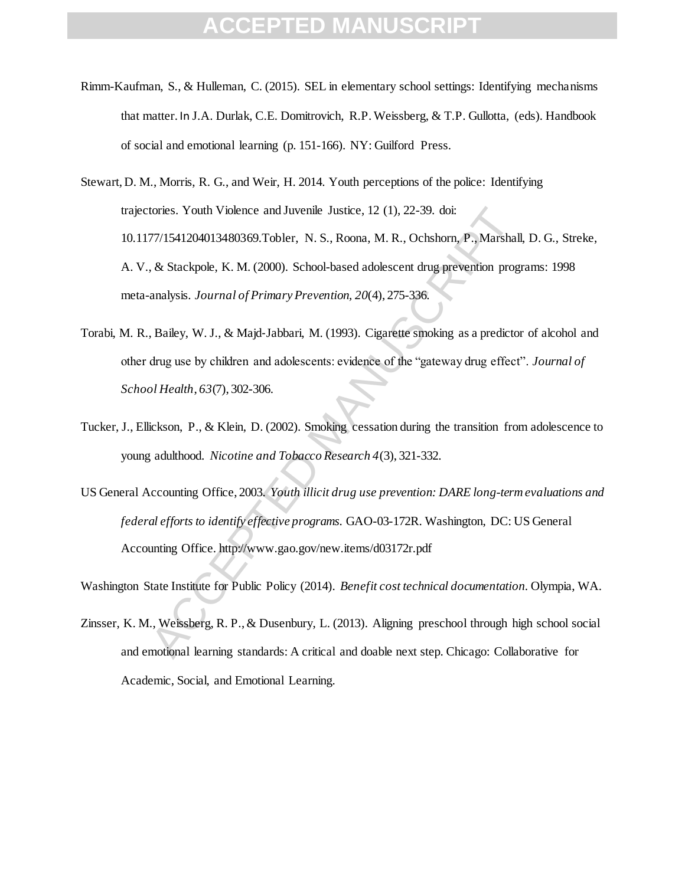- Rimm-Kaufman, S., & Hulleman, C. (2015). SEL in elementary school settings: Identifying mechanisms that matter. In J.A. Durlak, C.E. Domitrovich, R.P. Weissberg, & T.P. Gullotta, (eds). Handbook of social and emotional learning (p. 151-166). NY: Guilford Press.
- tories. Youth Violence and Juvenile Justice, 12 (1), 22-39. doi:<br>77/1541204013480369.Tobler, N. S., Roona, M. R., Ochshorn, P., Marshall,<br>
& Stackpole, K. M. (2000). School-based adolescent drug prevention prog<br>
analysis. Stewart, D. M., Morris, R. G., and Weir, H. 2014. Youth perceptions of the police: Identifying trajectories. Youth Violence and Juvenile Justice, 12 (1), 22-39. doi: 10.1177/1541204013480369.Tobler, N. S., Roona, M. R., Ochshorn, P., Marshall, D. G., Streke, A. V., & Stackpole, K. M. (2000). School-based adolescent drug prevention programs: 1998 meta-analysis. *Journal of Primary Prevention, 20*(4), 275-336.
- Torabi, M. R., Bailey, W. J., & Majd‐Jabbari, M. (1993). Cigarette smoking as a predictor of alcohol and other drug use by children and adolescents: evidence of the "gateway drug effect". *Journal of School Health*, *63*(7), 302-306.
- Tucker, J., Ellickson, P., & Klein, D. (2002). Smoking cessation during the transition from adolescence to young adulthood. *Nicotine and Tobacco Research 4*(3), 321-332.
- US General Accounting Office, 2003. *Youth illicit drug use prevention: DARE long-term evaluations and federal efforts to identify effective programs.* GAO-03-172R. Washington, DC: US General Accounting Office. http://www.gao.gov/new.items/d03172r.pdf

Washington State Institute for Public Policy (2014). *Benefit cost technical documentation*. Olympia, WA.

Zinsser, K. M., Weissberg, R. P., & Dusenbury, L. (2013). Aligning preschool through high school social and emotional learning standards: A critical and doable next step. Chicago: Collaborative for Academic, Social, and Emotional Learning.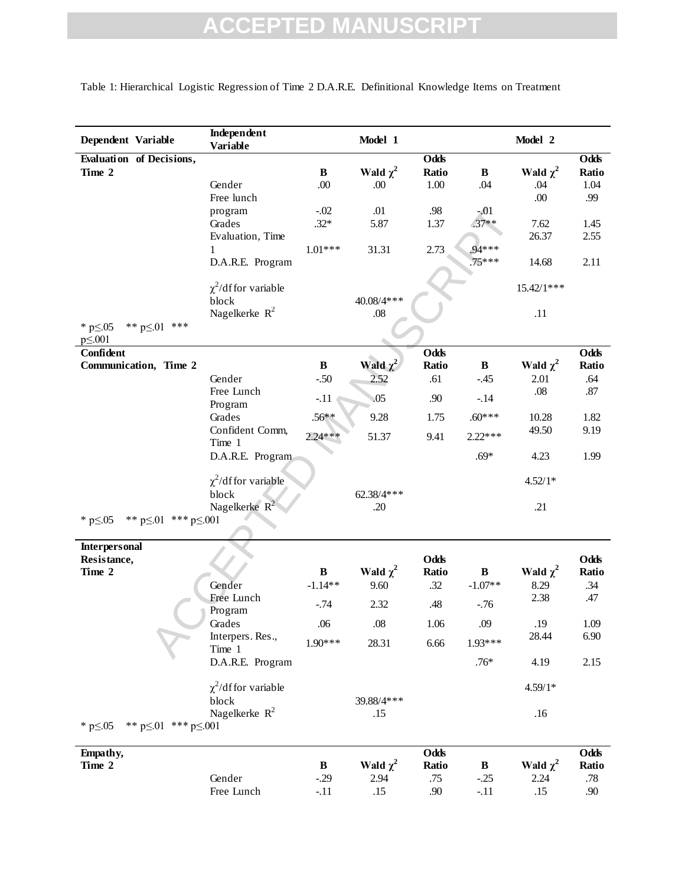| Dependent Variable                                    | Independent<br><b>Variable</b> |              | Model 1       |             |              | Model 2       |         |
|-------------------------------------------------------|--------------------------------|--------------|---------------|-------------|--------------|---------------|---------|
| Evaluation of Decisions,                              |                                |              |               | <b>Odds</b> |              |               | Odds    |
| Time 2                                                |                                | $\, {\bf B}$ | Wald $\chi^2$ | Ratio       | $\bf{B}$     | Wald $\chi^2$ | Ratio   |
|                                                       | Gender                         | .00          | .00.          | 1.00        | .04          | .04           | 1.04    |
|                                                       | Free lunch                     |              |               |             |              | .00.          | .99     |
|                                                       | program                        | $-.02$       | .01           | .98         | $-.01$       |               |         |
|                                                       | Grades                         | $.32*$       | 5.87          | 1.37        | $.37**$      | 7.62          | 1.45    |
|                                                       | Evaluation, Time               |              |               |             |              | 26.37         | 2.55    |
|                                                       | 1                              | $1.01***$    | 31.31         | 2.73        | $.94***$     |               |         |
|                                                       | D.A.R.E. Program               |              |               |             | $.75***$     | 14.68         | 2.11    |
|                                                       |                                |              |               |             |              |               |         |
|                                                       | $\chi^2$ /df for variable      |              |               |             |              | 15.42/1***    |         |
|                                                       | block                          |              | 40.08/4***    |             |              |               |         |
|                                                       | Nagelkerke $R^2$               |              | .08           |             |              | .11           |         |
| ** $p \le 01$ ***<br>* $p \le 0.05$<br>$p \leq 0.001$ |                                |              |               |             |              |               |         |
| Confident                                             |                                |              |               | Odds        |              |               | Odds    |
| Communication, Time 2                                 |                                | $\, {\bf B}$ | Wald $\chi^2$ | Ratio       | $\, {\bf B}$ | Wald $\chi^2$ | Ratio   |
|                                                       | Gender                         | $-.50$       | 2.52          | .61         | $-.45$       | 2.01          | .64     |
|                                                       | Free Lunch                     |              | .05           | .90         |              | .08           | .87     |
|                                                       | Program                        | $-.11$       |               |             | $-.14$       |               |         |
|                                                       | Grades                         | $.56***$     | 9.28          | 1.75        | $.60***$     | 10.28         | 1.82    |
|                                                       | Confident Comm,                | $2.24***$    | 51.37         | 9.41        | $2.22***$    | 49.50         | 9.19    |
|                                                       | Time 1                         |              |               |             |              |               |         |
|                                                       | D.A.R.E. Program               |              |               |             | $.69*$       | 4.23          | 1.99    |
|                                                       |                                |              |               |             |              |               |         |
|                                                       | $\chi^2$ /df for variable      |              |               |             |              | $4.52/1*$     |         |
|                                                       | block                          |              | 62.38/4 ***   |             |              |               |         |
|                                                       | Nagelkerke $R^2$               |              | .20           |             |              | .21           |         |
| ** $p \le 01$ *** $p \le 001$<br>* $p \le 0.05$       |                                |              |               |             |              |               |         |
|                                                       |                                |              |               |             |              |               |         |
| <b>Interpersonal</b><br>Resistance,                   |                                |              |               | Odds        |              |               | Odds    |
| Time 2                                                |                                | $\bf B$      | Wald $\chi^2$ | Ratio       | $\, {\bf B}$ | Wald $\chi^2$ | Ratio   |
|                                                       | Gender                         | $-1.14**$    | 9.60          | .32         | $-1.07**$    | 8.29          | .34     |
|                                                       | Free Lunch                     |              |               |             |              | 2.38          | .47     |
|                                                       | Program                        | $-.74$       | 2.32          | .48         | $-.76$       |               |         |
|                                                       | Grades                         | $.06$        | $.08\,$       | 1.06        | .09          | .19           | 1.09    |
|                                                       | Interpers. Res.,               |              |               |             | $1.93***$    | 28.44         | 6.90    |
|                                                       | Time 1                         | $1.90***$    | 28.31         | 6.66        |              |               |         |
|                                                       | D.A.R.E. Program               |              |               |             | $.76*$       | 4.19          | 2.15    |
|                                                       | $\chi^2$ /df for variable      |              |               |             |              | $4.59/1*$     |         |
|                                                       |                                |              | 39.88/4 ***   |             |              |               |         |
|                                                       | block<br>Nagelkerke $R^2$      |              | .15           |             |              | .16           |         |
| ** $p \le 01$ *** $p \le 001$<br>* $p \le 0.05$       |                                |              |               |             |              |               |         |
|                                                       |                                |              |               |             |              |               |         |
| Empathy,                                              |                                |              |               | Odds        |              |               | Odds    |
| Time 2                                                |                                | $\, {\bf B}$ | Wald $\chi^2$ | Ratio       | $\bf{B}$     | Wald $\chi^2$ | Ratio   |
|                                                       | Gender                         | $-.29$       | 2.94          | .75         | $-.25$       | 2.24          | $.78\,$ |
|                                                       | Free Lunch                     | $-.11$       | .15           | .90         | $-.11$       | .15           | .90     |

Table 1: Hierarchical Logistic Regression of Time 2 D.A.R.E. Definitional Knowledge Items on Treatment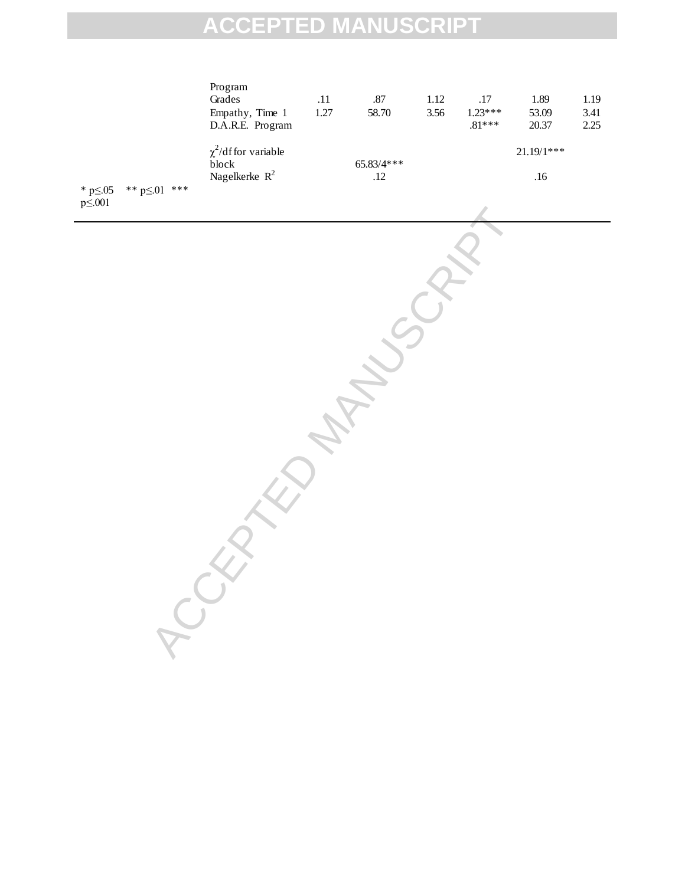|                                                       | Program<br>Grades<br>Empathy, Time 1<br>D.A.R.E. Program | $.11\,$<br>1.27 | $.87\,$<br>58.70    | $1.12\,$<br>3.56 | $.17\,$<br>$1.23***$<br>$.81***$ | $1.89\,$<br>53.09<br>20.37 | $1.19\,$<br>3.41<br>2.25 |
|-------------------------------------------------------|----------------------------------------------------------|-----------------|---------------------|------------------|----------------------------------|----------------------------|--------------------------|
|                                                       | $\chi^2$ /df for variable<br>block<br>Nagelkerke $R^2$   |                 | $65.83/4***$<br>.12 |                  |                                  | $21.19/1***$<br>.16        |                          |
| * p $\leq$ .05<br>** $p \le 01$ ***<br>$p \leq 0.001$ |                                                          |                 |                     |                  |                                  |                            |                          |
|                                                       |                                                          |                 |                     |                  |                                  |                            |                          |
|                                                       |                                                          |                 |                     |                  |                                  |                            |                          |
|                                                       |                                                          |                 |                     |                  |                                  |                            |                          |
|                                                       |                                                          |                 |                     |                  |                                  |                            |                          |
|                                                       |                                                          |                 |                     |                  |                                  |                            |                          |
|                                                       |                                                          |                 |                     |                  |                                  |                            |                          |
|                                                       |                                                          |                 |                     |                  |                                  |                            |                          |
|                                                       |                                                          |                 |                     |                  |                                  |                            |                          |
|                                                       |                                                          |                 |                     |                  |                                  |                            |                          |
|                                                       |                                                          |                 |                     |                  |                                  |                            |                          |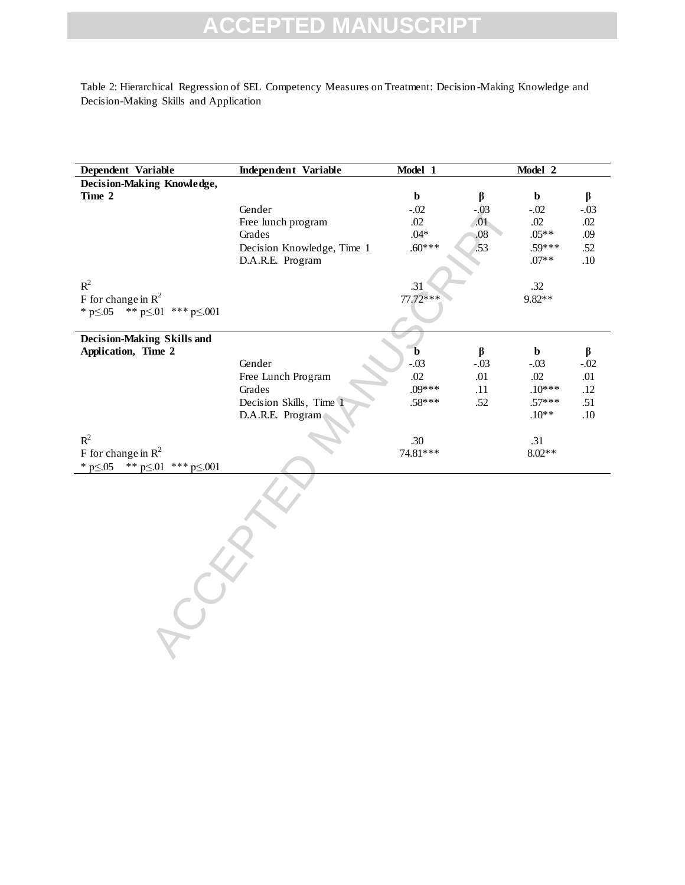Table 2: Hierarchical Regression of SEL Competency Measures on Treatment: Decision -Making Knowledge and Decision-Making Skills and Application

| Dependent Variable                              | <b>Independent Variable</b> | Model 1     |         | Model 2     |         |
|-------------------------------------------------|-----------------------------|-------------|---------|-------------|---------|
| Decision-Making Knowledge,                      |                             |             |         |             |         |
| Time 2                                          |                             | $\mathbf b$ | $\beta$ | $\mathbf b$ | $\beta$ |
|                                                 | Gender                      | $-.02$      | $-.03$  | $-.02$      | $-.03$  |
|                                                 | Free lunch program          | .02         | .01     | .02         | $.02\,$ |
|                                                 | Grades                      | $.04*$      | .08     | $.05**$     | .09     |
|                                                 | Decision Knowledge, Time 1  | $.60***$    | .53     | $.59***$    | .52     |
|                                                 | D.A.R.E. Program            |             |         | $.07**$     | .10     |
| $R^2$                                           |                             |             |         |             |         |
|                                                 |                             | .31         |         | .32         |         |
| F for change in $R^2$                           |                             | $77.72***$  |         | 9.82**      |         |
| ** $p \le 01$ *** $p \le 001$<br>* $p \le 0.05$ |                             |             |         |             |         |
| Decision-Making Skills and                      |                             |             |         |             |         |
| Application, Time 2                             |                             | b           | $\beta$ | $\mathbf b$ | $\beta$ |
|                                                 | Gender                      | $-.03$      | $-.03$  | $-.03$      | $-.02$  |
|                                                 | Free Lunch Program          | .02         | .01     | $.02\,$     | .01     |
|                                                 | Grades                      | $.09***$    | .11     | $.10***$    | .12     |
|                                                 | Decision Skills, Time 1     | $.58***$    | .52     | $.57***$    | .51     |
|                                                 | D.A.R.E. Program            |             |         | $.10**$     | .10     |
|                                                 |                             |             |         |             |         |
| $R^2$                                           |                             | .30         |         | .31         |         |
| F for change in $R^2$                           |                             | 74.81***    |         | $8.02**$    |         |
| * $p \le 0.05$<br>** $p \le 01$ *** $p \le 001$ |                             |             |         |             |         |
|                                                 |                             |             |         |             |         |
|                                                 |                             |             |         |             |         |
|                                                 |                             |             |         |             |         |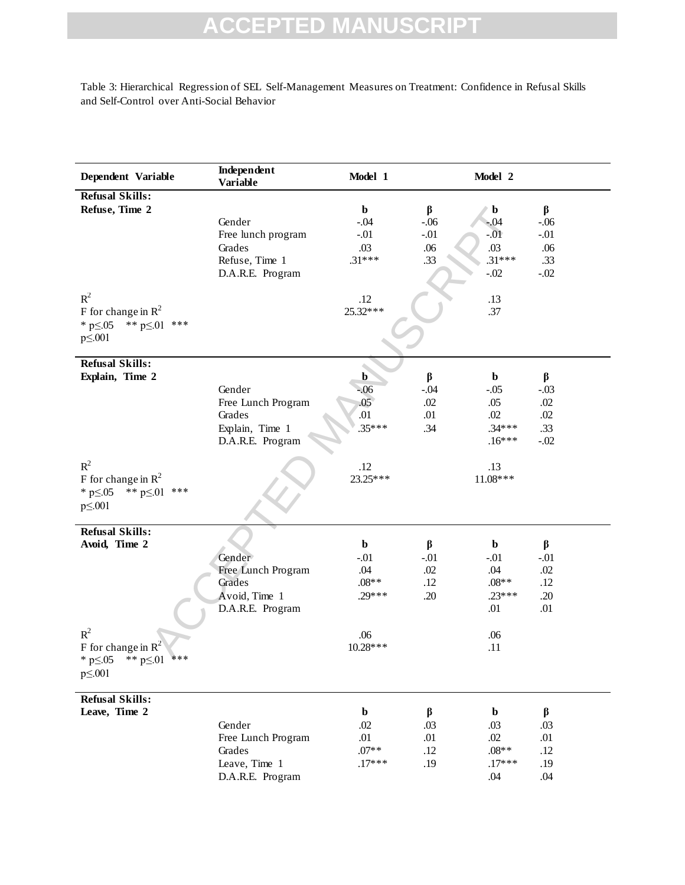Table 3: Hierarchical Regression of SEL Self-Management Measures on Treatment: Confidence in Refusal Skills and Self-Control over Anti-Social Behavior

| Dependent Variable                                                                                                                           | Independent<br><b>Variable</b>                                                | Model 1                                                                |                                           | Model 2                                                                  |                                                  |
|----------------------------------------------------------------------------------------------------------------------------------------------|-------------------------------------------------------------------------------|------------------------------------------------------------------------|-------------------------------------------|--------------------------------------------------------------------------|--------------------------------------------------|
| <b>Refusal Skills:</b><br>Refuse, Time 2<br>$R^2$<br>F for change in $\mathbb{R}^2$<br>** $p \le 01$ ***<br>* $p \le 0.05$<br>$p \leq 0.001$ | Gender<br>Free lunch program<br>Grades<br>Refuse, Time 1<br>D.A.R.E. Program  | $\mathbf b$<br>$-.04$<br>$-.01$<br>.03<br>$.31***$<br>.12<br>25.32***  | $\beta$<br>$-.06$<br>$-.01$<br>.06<br>.33 | b<br>$-.04$<br>$-0.01$<br>.03<br>$.31***$<br>$-.02$<br>.13<br>.37        | β<br>$-.06$<br>$-.01$<br>.06<br>.33<br>$-.02$    |
| <b>Refusal Skills:</b><br>Explain, Time 2<br>$R^2$                                                                                           | Gender<br>Free Lunch Program<br>Grades<br>Explain, Time 1<br>D.A.R.E. Program | $\mathbf{b}$<br>$-06$<br>.05 <sub>o</sub><br>.01<br>$.35***$<br>.12    | $\beta$<br>$-.04$<br>.02<br>.01<br>.34    | $\mathbf b$<br>$-.05$<br>.05<br>.02<br>$.34***$<br>$.16***$<br>.13       | $\beta$<br>$-.03$<br>.02<br>.02<br>.33<br>$-.02$ |
| F for change in $\mathbb{R}^2$<br>** $p \le 01$ ***<br>* $p \le 0.05$<br>$p \leq 0.001$                                                      |                                                                               | 23.25***                                                               |                                           | 11.08***                                                                 |                                                  |
| <b>Refusal Skills:</b><br>Avoid, Time 2<br>$R^2$<br>F for change in $R^2$<br>* p≤.05<br>** $p \le 01$ ***<br>$p \leq 0.001$                  | Gender<br>Free Lunch Program<br>Grades<br>Avoid, Time 1<br>D.A.R.E. Program   | $\mathbf b$<br>$-.01$<br>.04<br>$.08**$<br>$.29***$<br>.06<br>10.28*** | $\beta$<br>$-.01$<br>.02<br>.12<br>.20    | $\mathbf b$<br>$-.01$<br>.04<br>$.08**$<br>$.23***$<br>.01<br>.06<br>.11 | $\beta$<br>$-.01$<br>.02<br>.12<br>.20<br>.01    |
| <b>Refusal Skills:</b><br>Leave, Time 2                                                                                                      | Gender<br>Free Lunch Program<br>Grades<br>Leave, Time 1<br>D.A.R.E. Program   | $\mathbf b$<br>.02<br>.01<br>$.07**$<br>$.17***$                       | $\beta$<br>.03<br>.01<br>.12<br>.19       | $\mathbf b$<br>.03<br>.02<br>$.08**$<br>$.17***$<br>.04                  | $\beta$<br>.03<br>.01<br>.12<br>.19<br>.04       |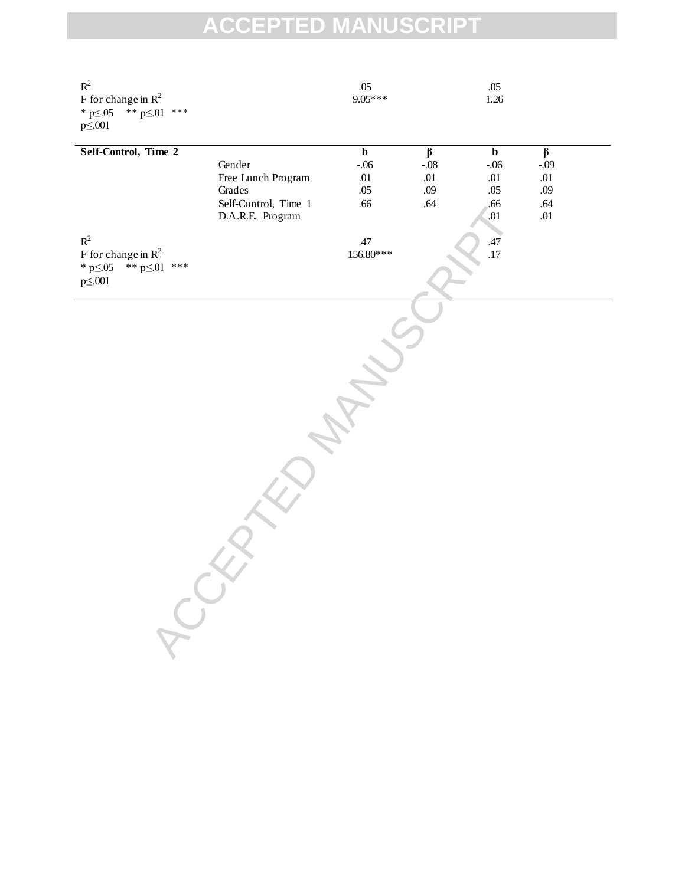| $\mathbb{R}^2$<br>F for change in $R^2$<br>** $p \le 01$ ***<br>$*$ p $\leq$ .05<br>$p \leq 0.001$ |                                                                                    | .05<br>$9.05***$                                           |                                                       | .05<br>1.26                                                       |                                                              |  |
|----------------------------------------------------------------------------------------------------|------------------------------------------------------------------------------------|------------------------------------------------------------|-------------------------------------------------------|-------------------------------------------------------------------|--------------------------------------------------------------|--|
| Self-Control, Time 2                                                                               | Gender<br>Free Lunch Program<br>Grades<br>Self-Control, Time 1<br>D.A.R.E. Program | $\overline{\mathbf{b}}$<br>$-.06$<br>$.01\,$<br>.05<br>.66 | $\overline{\beta}$<br>$-.08$<br>$.01\,$<br>.09<br>.64 | $\overline{\mathbf{b}}$<br>$-.06$<br>.01<br>.05<br>.66<br>$.01\,$ | $\overline{\beta}$<br>$-.09$<br>.01<br>.09<br>.64<br>$.01\,$ |  |
| $\mathbb{R}^2$<br>F for change in $R^2$<br>** $p \le 01$ ***<br>$*$ p $\leq$ .05<br>$p\leq 001$    |                                                                                    | .47<br>156.80***                                           |                                                       | .47<br>.17                                                        |                                                              |  |
|                                                                                                    |                                                                                    |                                                            |                                                       |                                                                   |                                                              |  |
|                                                                                                    |                                                                                    |                                                            |                                                       |                                                                   |                                                              |  |
|                                                                                                    |                                                                                    |                                                            |                                                       |                                                                   |                                                              |  |
| RCCX                                                                                               |                                                                                    |                                                            |                                                       |                                                                   |                                                              |  |
|                                                                                                    |                                                                                    |                                                            |                                                       |                                                                   |                                                              |  |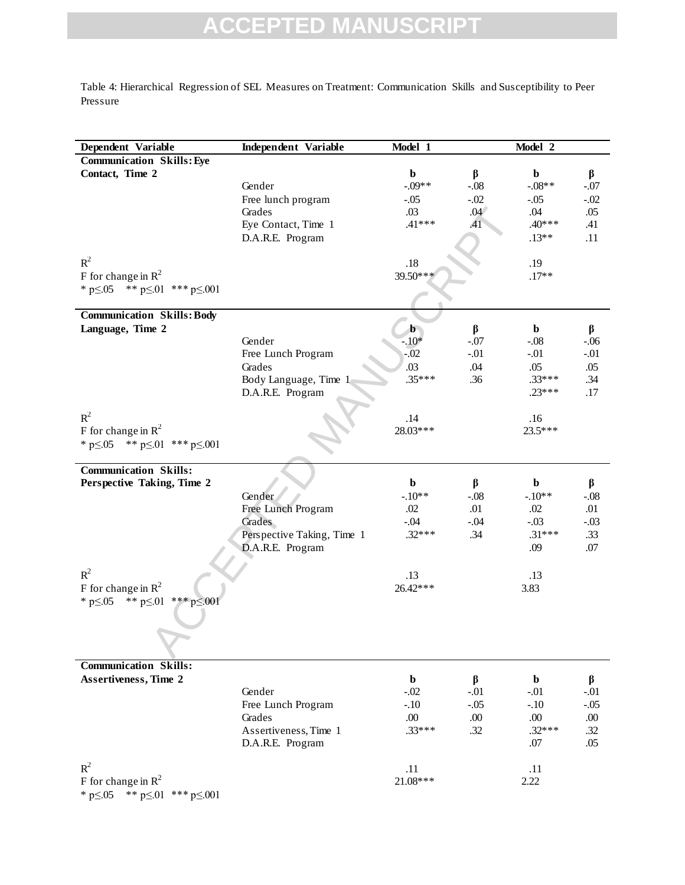Table 4: Hierarchical Regression of SEL Measures on Treatment: Communication Skills and Susceptibility to Peer Pressure

| Dependent Variable                                 | Independent Variable         | Model 1         |                  | Model 2         |               |
|----------------------------------------------------|------------------------------|-----------------|------------------|-----------------|---------------|
| <b>Communication Skills: Eye</b>                   |                              |                 |                  |                 |               |
| Contact, Time 2                                    |                              | b               | $\beta$          | $\mathbf b$     | β             |
|                                                    | Gender                       | $-.09**$        | $-.08$<br>$-.02$ | $-.08**$        | $-.07$        |
|                                                    | Free lunch program<br>Grades | $-.05$<br>.03   | .04              | $-.05$<br>.04   | $-.02$<br>.05 |
|                                                    | Eye Contact, Time 1          | $.41***$        | .41              | $.40***$        | .41           |
|                                                    | D.A.R.E. Program             |                 |                  | $.13**$         | .11           |
|                                                    |                              |                 |                  |                 |               |
| $R^2$                                              |                              | $.18$           |                  | .19             |               |
| F for change in $\mathbb{R}^2$                     |                              | 39.50***        |                  | $.17**$         |               |
| * $p \le 0.05$ ** $p \le 01$ *** $p \le 0.001$     |                              |                 |                  |                 |               |
| <b>Communication Skills: Body</b>                  |                              |                 |                  |                 |               |
| Language, Time 2                                   |                              | $\mathbf{b}$    | $\beta$          | $\mathbf b$     | β             |
|                                                    | Gender                       | $-.10*$         | $-.07$           | $-.08$          | $-.06$        |
|                                                    | Free Lunch Program           | $-.02$          | $-.01$           | $-.01$          | $-.01$        |
|                                                    | Grades                       | .03             | .04              | .05             | .05           |
|                                                    | Body Language, Time 1        | $.35***$        | .36              | $.33***$        | .34           |
|                                                    | D.A.R.E. Program             |                 |                  | $.23***$        | .17           |
| $R^2$                                              |                              |                 |                  |                 |               |
| F for change in $\mathbb{R}^2$                     |                              | .14<br>28.03*** |                  | .16<br>23.5***  |               |
| * $p \le 05$ ** $p \le 01$ *** $p \le 001$         |                              |                 |                  |                 |               |
|                                                    |                              |                 |                  |                 |               |
| <b>Communication Skills:</b>                       |                              |                 |                  |                 |               |
| Perspective Taking, Time 2                         |                              | $\mathbf b$     | $\beta$          | $\mathbf b$     | β             |
|                                                    | Gender                       | $-.10**$        | $-.08$           | $-.10**$        | $-.08$        |
|                                                    | Free Lunch Program           | .02             | .01              | .02             | .01           |
|                                                    | Grades                       | $-.04$          | $-.04$           | $-.03$          | $-.03$        |
|                                                    | Perspective Taking, Time 1   | $.32***$        | .34              | $.31***$<br>.09 | .33<br>.07    |
|                                                    | D.A.R.E. Program             |                 |                  |                 |               |
| $R^2$                                              |                              | .13             |                  | .13             |               |
| F for change in $\mathbb{R}^2$                     |                              | 26.42***        |                  | 3.83            |               |
| * $p \le 0.05$ ** $p \le 0.01$<br>*** p $\leq 001$ |                              |                 |                  |                 |               |
|                                                    |                              |                 |                  |                 |               |
|                                                    |                              |                 |                  |                 |               |
|                                                    |                              |                 |                  |                 |               |
| <b>Communication Skills:</b>                       |                              |                 |                  |                 |               |
| <b>Assertiveness, Time 2</b>                       |                              | b               | β                | b               | β             |
|                                                    | Gender                       | $-.02$          | $-.01$           | $-.01$          | $-.01$        |
|                                                    | Free Lunch Program           | $-.10$          | $-.05$           | $-.10$          | $-.05$        |
|                                                    | Grades                       | .00.            | .00.             | .00.            | .00.          |
|                                                    | Assertiveness, Time 1        | $.33***$        | .32              | $.32***$        | .32           |
|                                                    | D.A.R.E. Program             |                 |                  | .07             | .05           |
| $R^2$                                              |                              | .11             |                  | .11             |               |
| F for change in $R^2$                              |                              | 21.08***        |                  | 2.22            |               |
| * $p \le 0.05$ ** $p \le 0.01$ *** $p \le 0.001$   |                              |                 |                  |                 |               |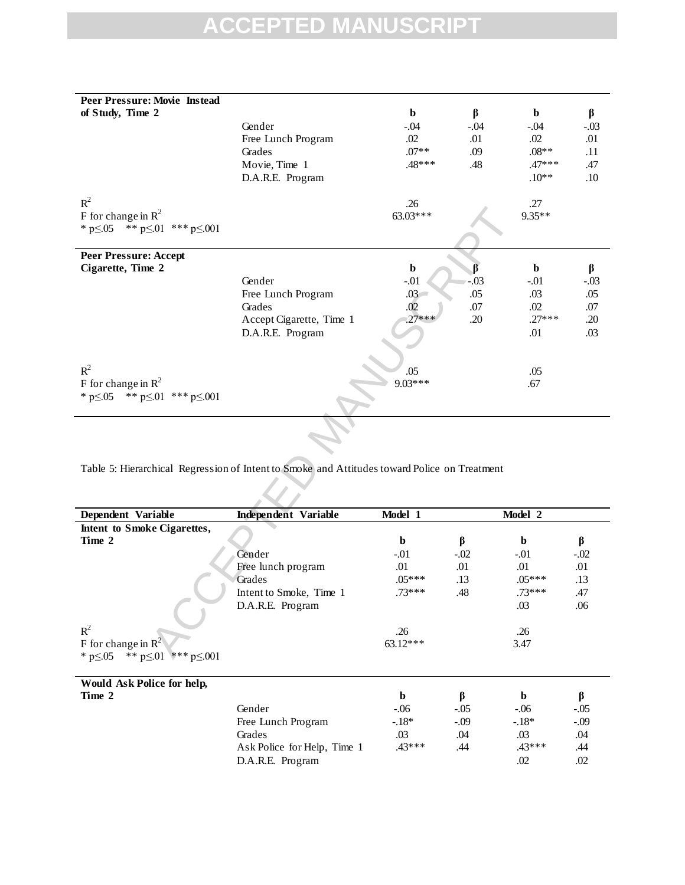| Peer Pressure: Movie Instead                                                                 |                             |               |            |             |         |
|----------------------------------------------------------------------------------------------|-----------------------------|---------------|------------|-------------|---------|
| of Study, Time 2                                                                             |                             | $\mathbf b$   | $\beta$    | b           | β       |
|                                                                                              | Gender                      | $-.04$        | $-.04$     | $-.04$      | $-.03$  |
|                                                                                              | Free Lunch Program          | .02           | .01        | $.02\,$     | .01     |
|                                                                                              | Grades                      | $.07**$       | .09        | $.08**$     | .11     |
|                                                                                              | Movie, Time 1               | $.48***$      | .48        | $.47***$    | .47     |
|                                                                                              | D.A.R.E. Program            |               |            | $.10**$     | .10     |
|                                                                                              |                             |               |            |             |         |
| $R^2$                                                                                        |                             | .26           |            | .27         |         |
| F for change in $R^2$                                                                        |                             | 63.03***      |            | $9.35**$    |         |
| * $p \le 0.05$ ** $p \le 0.01$ *** $p \le 0.001$                                             |                             |               |            |             |         |
|                                                                                              |                             |               |            |             |         |
| <b>Peer Pressure: Accept</b>                                                                 |                             |               |            |             |         |
| Cigarette, Time 2                                                                            |                             | $\mathbf b$   | ß          | $\mathbf b$ |         |
|                                                                                              | Gender                      | $-.01$        | $-0.03$    | $-.01$      | β       |
|                                                                                              |                             |               |            |             | $-.03$  |
|                                                                                              | Free Lunch Program          | $.03-$<br>.02 | .05<br>.07 | .03         | .05     |
|                                                                                              | Grades                      | $.27***$      |            | .02         | .07     |
|                                                                                              | Accept Cigarette, Time 1    |               | .20        | $.27***$    | .20     |
|                                                                                              | D.A.R.E. Program            |               |            | .01         | .03     |
|                                                                                              |                             |               |            |             |         |
| $R^2$                                                                                        |                             |               |            |             |         |
|                                                                                              |                             | .05           |            | .05         |         |
| F for change in $R^2$                                                                        |                             | $9.03***$     |            | .67         |         |
| * $p \le 0.05$ ** $p \le 01$ *** $p \le 0.001$                                               |                             |               |            |             |         |
|                                                                                              |                             |               |            |             |         |
|                                                                                              |                             |               |            |             |         |
|                                                                                              |                             |               |            |             |         |
|                                                                                              |                             |               |            |             |         |
| Table 5: Hierarchical Regression of Intent to Smoke and Attitudes toward Police on Treatment |                             |               |            |             |         |
|                                                                                              |                             |               |            |             |         |
|                                                                                              |                             |               |            |             |         |
|                                                                                              |                             |               |            |             |         |
| Dependent Variable                                                                           | <b>Independent Variable</b> | Model 1       |            | Model 2     |         |
| Intent to Smoke Cigarettes,                                                                  |                             |               |            |             |         |
| Time 2                                                                                       |                             | $\mathbf b$   | $\beta$    | b           | $\beta$ |
|                                                                                              | Gender                      | $-.01$        | $-.02$     | $-.01$      | $-.02$  |
|                                                                                              | Free lunch program          | .01           | .01        | $.01\,$     | .01     |
|                                                                                              | Grades                      | $.05***$      | .13        | $.05***$    | .13     |
|                                                                                              | Intent to Smoke, Time 1     | $.73***$      | .48        | $.73***$    | .47     |
|                                                                                              | D.A.R.E. Program            |               |            | .03         | .06     |
|                                                                                              |                             |               |            |             |         |
| $R^2$                                                                                        |                             | .26           |            | .26         |         |
| F for change in $\mathbb{R}^2$                                                               |                             | $63.12***$    |            | 3.47        |         |
| * $p < 0.5$ ** $p < 0.1$<br>*** $p < 001$                                                    |                             |               |            |             |         |

| Dependent Variable                              | <b>Independent Variable</b> | Model 1     |        | Model 2     |        |
|-------------------------------------------------|-----------------------------|-------------|--------|-------------|--------|
| Intent to Smoke Cigarettes,                     |                             |             |        |             |        |
| Time 2                                          |                             | $\mathbf b$ | β      | $\mathbf b$ | β      |
|                                                 | Gender                      | $-.01$      | $-.02$ | $-.01$      | $-.02$ |
|                                                 | Free lunch program          | .01         | .01    | .01         | .01    |
|                                                 | Grades                      | $.05***$    | .13    | $.05***$    | .13    |
|                                                 | Intent to Smoke, Time 1     | 73 ***      | .48    | $.73***$    | .47    |
|                                                 | D.A.R.E. Program            |             |        | .03         | .06    |
| $R^2$                                           |                             | .26         |        | .26         |        |
| F for change in $\mathbb{R}^2$                  |                             | $63.12***$  |        | 3.47        |        |
| ** $p \le 01$ *** $p \le 001$<br>* $p \le 0.05$ |                             |             |        |             |        |
| Would Ask Police for help,                      |                             |             |        |             |        |
| Time 2                                          |                             | b           | β      | b           | β      |
|                                                 | Gender                      | $-.06$      | $-.05$ | $-.06$      | $-.05$ |
|                                                 | Free Lunch Program          | $-18*$      | $-.09$ | $-18*$      | $-.09$ |
|                                                 | Grades                      | .03         | .04    | .03         | .04    |
|                                                 | Ask Police for Help, Time 1 | $.43***$    | .44    | $.43***$    | .44    |
|                                                 | D.A.R.E. Program            |             |        | .02         | .02    |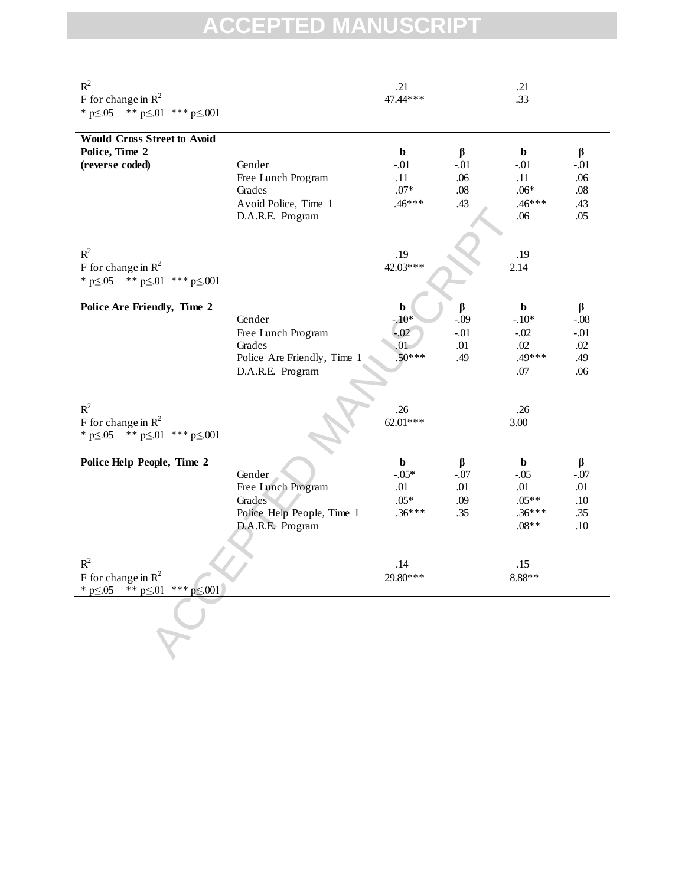| $R^2$<br>F for change in $R^2$<br>** $p \le 01$ *** $p \le 001$<br>* $p \le 0.05$          |                                                                                           | .21<br>47.44***                                      |                                        | .21<br>.33                                                     |                                               |
|--------------------------------------------------------------------------------------------|-------------------------------------------------------------------------------------------|------------------------------------------------------|----------------------------------------|----------------------------------------------------------------|-----------------------------------------------|
| <b>Would Cross Street to Avoid</b><br>Police, Time 2<br>(reverse coded)                    | Gender<br>Free Lunch Program<br>Grades<br>Avoid Police, Time 1<br>D.A.R.E. Program        | $\mathbf b$<br>$-.01$<br>.11<br>$.07*$<br>$.46***$   | $\beta$<br>$-.01$<br>.06<br>.08<br>.43 | $\mathbf b$<br>$-.01$<br>.11<br>$.06*$<br>$.46***$<br>.06      | β<br>$-.01$<br>.06<br>.08<br>.43<br>.05       |
| $R^2$<br>F for change in $R^2$<br>* $p \le 05$ ** $p \le 01$ *** $p \le 001$               |                                                                                           | .19<br>42.03***                                      |                                        | .19<br>2.14                                                    |                                               |
| Police Are Friendly, Time 2                                                                | Gender<br>Free Lunch Program<br>Grades<br>Police Are Friendly, Time 1<br>D.A.R.E. Program | $\mathbf b$<br>$-10*$<br>$-.02$<br>.01<br>$.50***$   | β<br>$-.09$<br>$-.01$<br>.01<br>.49    | $\mathbf b$<br>$-.10*$<br>$-.02$<br>.02<br>.49***<br>.07       | β<br>$-.08$<br>$-.01$<br>.02<br>.49<br>.06    |
| $R^2$<br>F for change in $R^2$<br>* $p \le 05$ ** $p \le 01$ *** $p \le 001$               |                                                                                           | .26<br>62.01***                                      |                                        | .26<br>3.00                                                    |                                               |
| Police Help People, Time 2                                                                 | Gender<br>Free Lunch Program<br>Grades<br>Police Help People, Time 1<br>D.A.R.E. Program  | $\mathbf b$<br>$-0.05*$<br>.01<br>$.05*$<br>$.36***$ | $\beta$<br>$-.07$<br>.01<br>.09<br>.35 | $\mathbf b$<br>$-.05$<br>.01<br>$.05**$<br>$.36***$<br>$.08**$ | $\beta$<br>$-.07$<br>.01<br>.10<br>.35<br>.10 |
| $R^2$<br>F for change in $\mathbb{R}^2$<br>** $p \le 01$ *** $p \le 001$<br>* $p \le 0.05$ |                                                                                           | .14<br>29.80***                                      |                                        | .15<br>8.88**                                                  |                                               |
|                                                                                            |                                                                                           |                                                      |                                        |                                                                |                                               |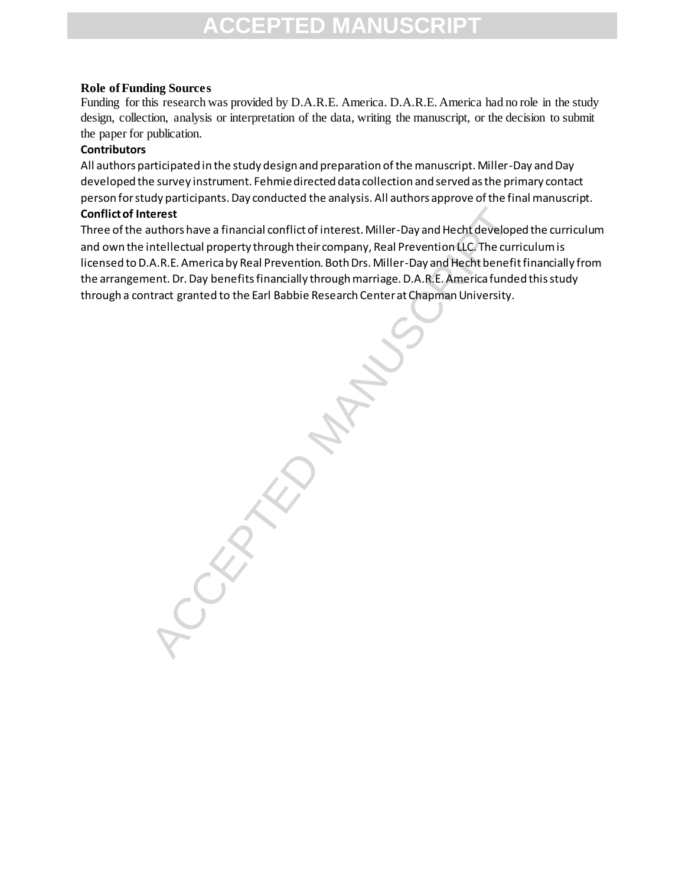#### **Role of Funding Sources**

Funding for this research was provided by D.A.R.E. America. D.A.R.E. America had no role in the study design, collection, analysis or interpretation of the data, writing the manuscript, or the decision to submit the paper for publication.

#### **Contributors**

All authors participated in the study design and preparation of the manuscript. Miller-Day and Day developed the survey instrument. Fehmie directed data collection and served as the primary contact person for study participants. Day conducted the analysis. All authors approve of the final manuscript.

#### **Conflict of Interest**

Three of the authors have a financial conflict of interest. Miller-Day and Hecht developed the curriculum and own the intellectual property through their company, Real Prevention LLC. The curriculum is licensed to D.A.R.E. America by Real Prevention. Both Drs. Miller-Day and Hecht benefit financially from the arrangement. Dr. Day benefitsfinancially through marriage. D.A.R.E. America funded this study through a contract granted to the Earl Babbie Research Center at Chapman University.

renest<br>unthorshave a financial conflict of interest. Miller-Day and Hecht develope<br>intellectual property through their company, Real Prevention LLC. The curri<br>A.R.E. America by Real Prevention. Both Drs. Miller-Day and Hec